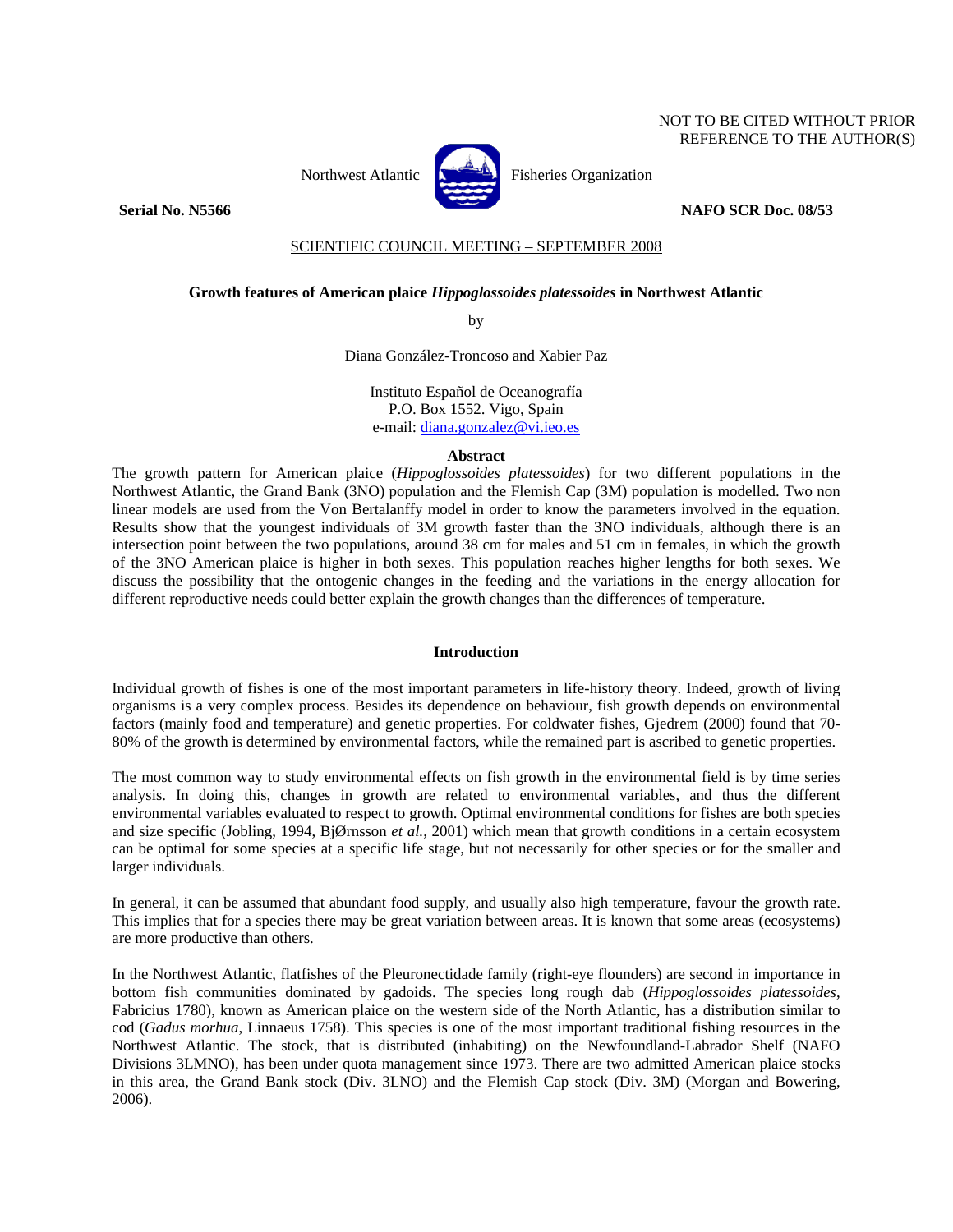## NOT TO BE CITED WITHOUT PRIOR REFERENCE TO THE AUTHOR(S)



Northwest Atlantic  $\begin{bmatrix} 1 & 1 \\ 1 & 1 \end{bmatrix}$  Fisheries Organization

### **Serial No. N5566** NAFO SCR Doc. 08/53

## SCIENTIFIC COUNCIL MEETING – SEPTEMBER 2008

# **Growth features of American plaice** *Hippoglossoides platessoides* **in Northwest Atlantic**

by

Diana González-Troncoso and Xabier Paz

Instituto Español de Oceanografía P.O. Box 1552. Vigo, Spain e-mail: diana.gonzalez@vi.ieo.es

### **Abstract**

The growth pattern for American plaice (*Hippoglossoides platessoides*) for two different populations in the Northwest Atlantic, the Grand Bank (3NO) population and the Flemish Cap (3M) population is modelled. Two non linear models are used from the Von Bertalanffy model in order to know the parameters involved in the equation. Results show that the youngest individuals of 3M growth faster than the 3NO individuals, although there is an intersection point between the two populations, around 38 cm for males and 51 cm in females, in which the growth of the 3NO American plaice is higher in both sexes. This population reaches higher lengths for both sexes. We discuss the possibility that the ontogenic changes in the feeding and the variations in the energy allocation for different reproductive needs could better explain the growth changes than the differences of temperature.

## **Introduction**

Individual growth of fishes is one of the most important parameters in life-history theory. Indeed, growth of living organisms is a very complex process. Besides its dependence on behaviour, fish growth depends on environmental factors (mainly food and temperature) and genetic properties. For coldwater fishes, Gjedrem (2000) found that 70- 80% of the growth is determined by environmental factors, while the remained part is ascribed to genetic properties.

The most common way to study environmental effects on fish growth in the environmental field is by time series analysis. In doing this, changes in growth are related to environmental variables, and thus the different environmental variables evaluated to respect to growth. Optimal environmental conditions for fishes are both species and size specific (Jobling, 1994, BjØrnsson *et al.*, 2001) which mean that growth conditions in a certain ecosystem can be optimal for some species at a specific life stage, but not necessarily for other species or for the smaller and larger individuals.

In general, it can be assumed that abundant food supply, and usually also high temperature, favour the growth rate. This implies that for a species there may be great variation between areas. It is known that some areas (ecosystems) are more productive than others.

In the Northwest Atlantic, flatfishes of the Pleuronectidade family (right-eye flounders) are second in importance in bottom fish communities dominated by gadoids. The species long rough dab (*Hippoglossoides platessoides*, Fabricius 1780), known as American plaice on the western side of the North Atlantic, has a distribution similar to cod (*Gadus morhua*, Linnaeus 1758). This species is one of the most important traditional fishing resources in the Northwest Atlantic. The stock, that is distributed (inhabiting) on the Newfoundland-Labrador Shelf (NAFO Divisions 3LMNO), has been under quota management since 1973. There are two admitted American plaice stocks in this area, the Grand Bank stock (Div. 3LNO) and the Flemish Cap stock (Div. 3M) (Morgan and Bowering, 2006).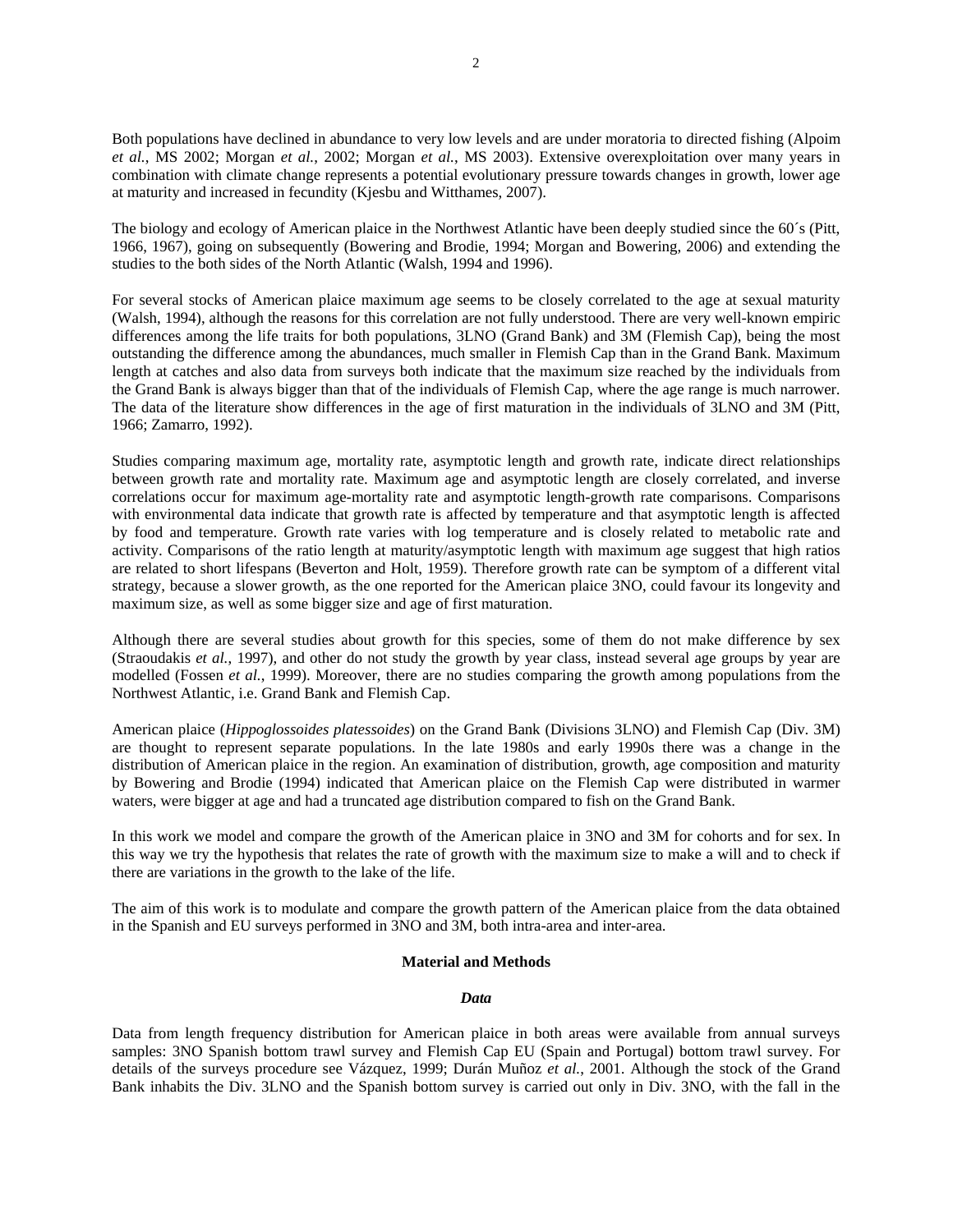Both populations have declined in abundance to very low levels and are under moratoria to directed fishing (Alpoim *et al.*, MS 2002; Morgan *et al.*, 2002; Morgan *et al.*, MS 2003). Extensive overexploitation over many years in combination with climate change represents a potential evolutionary pressure towards changes in growth, lower age at maturity and increased in fecundity (Kjesbu and Witthames, 2007).

The biology and ecology of American plaice in the Northwest Atlantic have been deeply studied since the 60´s (Pitt, 1966, 1967), going on subsequently (Bowering and Brodie, 1994; Morgan and Bowering, 2006) and extending the studies to the both sides of the North Atlantic (Walsh, 1994 and 1996).

For several stocks of American plaice maximum age seems to be closely correlated to the age at sexual maturity (Walsh, 1994), although the reasons for this correlation are not fully understood. There are very well-known empiric differences among the life traits for both populations, 3LNO (Grand Bank) and 3M (Flemish Cap), being the most outstanding the difference among the abundances, much smaller in Flemish Cap than in the Grand Bank. Maximum length at catches and also data from surveys both indicate that the maximum size reached by the individuals from the Grand Bank is always bigger than that of the individuals of Flemish Cap, where the age range is much narrower. The data of the literature show differences in the age of first maturation in the individuals of 3LNO and 3M (Pitt, 1966; Zamarro, 1992).

Studies comparing maximum age, mortality rate, asymptotic length and growth rate, indicate direct relationships between growth rate and mortality rate. Maximum age and asymptotic length are closely correlated, and inverse correlations occur for maximum age-mortality rate and asymptotic length-growth rate comparisons. Comparisons with environmental data indicate that growth rate is affected by temperature and that asymptotic length is affected by food and temperature. Growth rate varies with log temperature and is closely related to metabolic rate and activity. Comparisons of the ratio length at maturity/asymptotic length with maximum age suggest that high ratios are related to short lifespans (Beverton and Holt, 1959). Therefore growth rate can be symptom of a different vital strategy, because a slower growth, as the one reported for the American plaice 3NO, could favour its longevity and maximum size, as well as some bigger size and age of first maturation.

Although there are several studies about growth for this species, some of them do not make difference by sex (Straoudakis *et al.*, 1997), and other do not study the growth by year class, instead several age groups by year are modelled (Fossen *et al.*, 1999). Moreover, there are no studies comparing the growth among populations from the Northwest Atlantic, i.e. Grand Bank and Flemish Cap.

American plaice (*Hippoglossoides platessoides*) on the Grand Bank (Divisions 3LNO) and Flemish Cap (Div. 3M) are thought to represent separate populations. In the late 1980s and early 1990s there was a change in the distribution of American plaice in the region. An examination of distribution, growth, age composition and maturity by Bowering and Brodie (1994) indicated that American plaice on the Flemish Cap were distributed in warmer waters, were bigger at age and had a truncated age distribution compared to fish on the Grand Bank.

In this work we model and compare the growth of the American plaice in 3NO and 3M for cohorts and for sex. In this way we try the hypothesis that relates the rate of growth with the maximum size to make a will and to check if there are variations in the growth to the lake of the life.

The aim of this work is to modulate and compare the growth pattern of the American plaice from the data obtained in the Spanish and EU surveys performed in 3NO and 3M, both intra-area and inter-area.

## **Material and Methods**

#### *Data*

Data from length frequency distribution for American plaice in both areas were available from annual surveys samples: 3NO Spanish bottom trawl survey and Flemish Cap EU (Spain and Portugal) bottom trawl survey. For details of the surveys procedure see Vázquez, 1999; Durán Muñoz *et al.*, 2001. Although the stock of the Grand Bank inhabits the Div. 3LNO and the Spanish bottom survey is carried out only in Div. 3NO, with the fall in the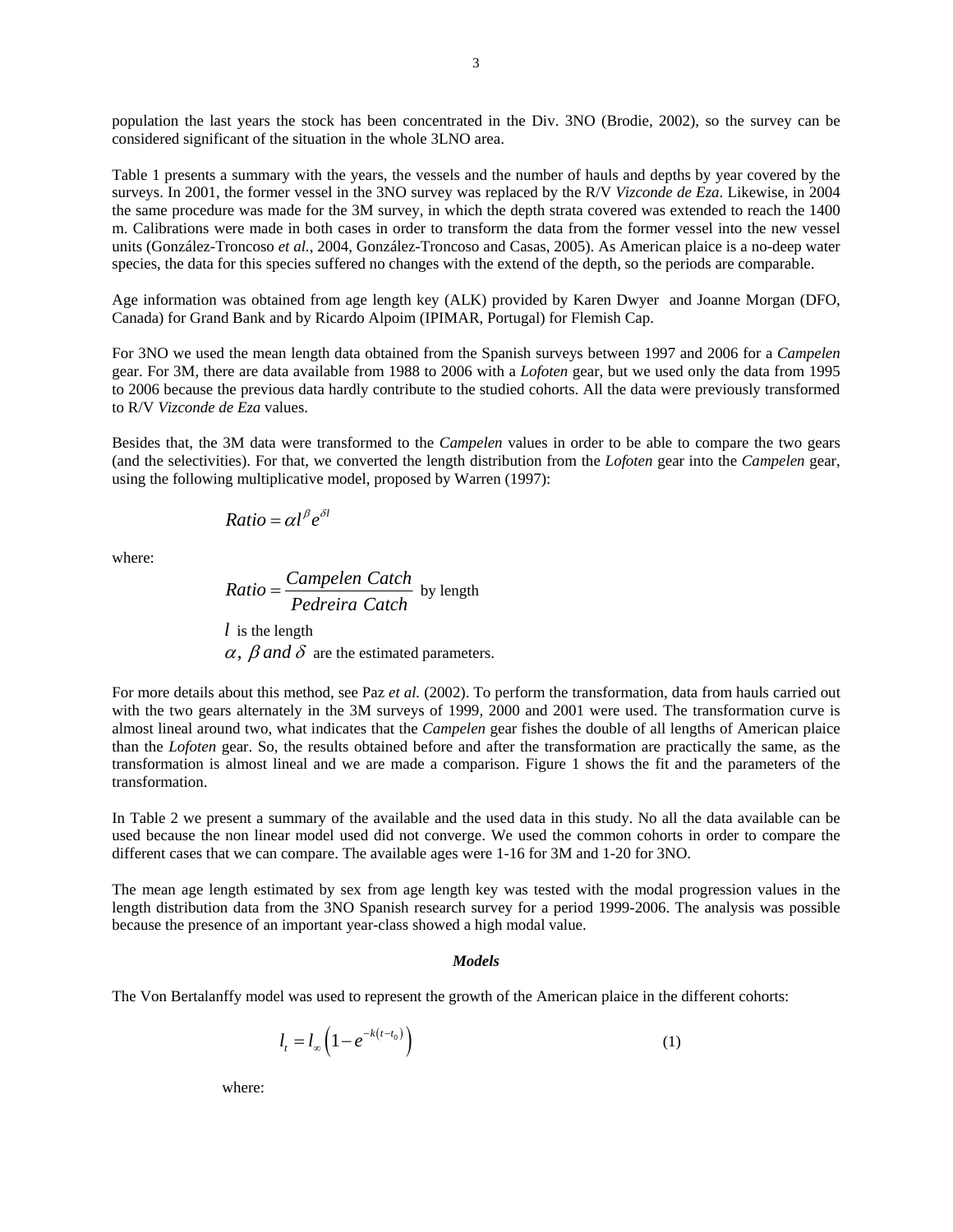population the last years the stock has been concentrated in the Div. 3NO (Brodie, 2002), so the survey can be considered significant of the situation in the whole 3LNO area.

Table 1 presents a summary with the years, the vessels and the number of hauls and depths by year covered by the surveys. In 2001, the former vessel in the 3NO survey was replaced by the R/V *Vizconde de Eza*. Likewise, in 2004 the same procedure was made for the 3M survey, in which the depth strata covered was extended to reach the 1400 m. Calibrations were made in both cases in order to transform the data from the former vessel into the new vessel units (González-Troncoso *et al.*, 2004, González-Troncoso and Casas, 2005). As American plaice is a no-deep water species, the data for this species suffered no changes with the extend of the depth, so the periods are comparable.

Age information was obtained from age length key (ALK) provided by Karen Dwyer and Joanne Morgan (DFO, Canada) for Grand Bank and by Ricardo Alpoim (IPIMAR, Portugal) for Flemish Cap.

For 3NO we used the mean length data obtained from the Spanish surveys between 1997 and 2006 for a *Campelen* gear. For 3M, there are data available from 1988 to 2006 with a *Lofoten* gear, but we used only the data from 1995 to 2006 because the previous data hardly contribute to the studied cohorts. All the data were previously transformed to R/V *Vizconde de Eza* values.

Besides that, the 3M data were transformed to the *Campelen* values in order to be able to compare the two gears (and the selectivities). For that, we converted the length distribution from the *Lofoten* gear into the *Campelen* gear, using the following multiplicative model, proposed by Warren (1997):

$$
Ratio = \alpha l^{\beta} e^{\delta l}
$$

where:

Ratio = 
$$
\frac{Campelen Catch}{Peder's Catch}
$$
 by length  
l is the length  
 $\alpha$ ,  $\beta$  and  $\delta$  are the estimated parameters.

For more details about this method, see Paz *et al.* (2002). To perform the transformation, data from hauls carried out with the two gears alternately in the 3M surveys of 1999, 2000 and 2001 were used. The transformation curve is almost lineal around two, what indicates that the *Campelen* gear fishes the double of all lengths of American plaice than the *Lofoten* gear. So, the results obtained before and after the transformation are practically the same, as the transformation is almost lineal and we are made a comparison. Figure 1 shows the fit and the parameters of the transformation.

In Table 2 we present a summary of the available and the used data in this study. No all the data available can be used because the non linear model used did not converge. We used the common cohorts in order to compare the different cases that we can compare. The available ages were 1-16 for 3M and 1-20 for 3NO.

The mean age length estimated by sex from age length key was tested with the modal progression values in the length distribution data from the 3NO Spanish research survey for a period 1999-2006. The analysis was possible because the presence of an important year-class showed a high modal value.

#### *Models*

The Von Bertalanffy model was used to represent the growth of the American plaice in the different cohorts:

$$
l_t = l_\infty \left( 1 - e^{-k(t - t_0)} \right) \tag{1}
$$

where: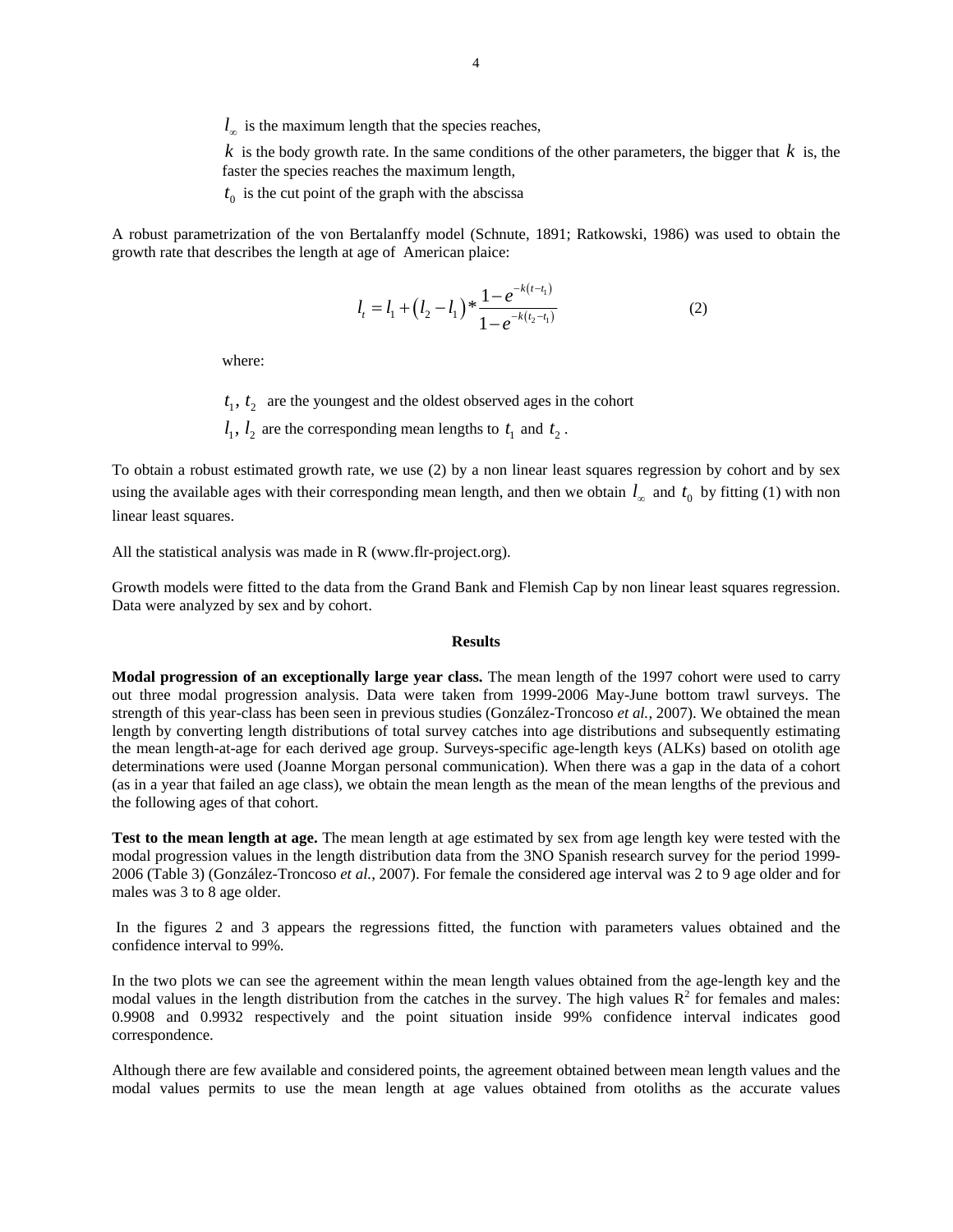$l_{\infty}$  is the maximum length that the species reaches,

 $k$  is the body growth rate. In the same conditions of the other parameters, the bigger that  $k$  is, the faster the species reaches the maximum length,

 $t<sub>0</sub>$  is the cut point of the graph with the abscissa

A robust parametrization of the von Bertalanffy model (Schnute, 1891; Ratkowski, 1986) was used to obtain the growth rate that describes the length at age of American plaice:

$$
l_{t} = l_{1} + (l_{2} - l_{1}) \ast \frac{1 - e^{-k(t - t_{1})}}{1 - e^{-k(t_{2} - t_{1})}}
$$
(2)

where:

 $t_1$ ,  $t_2$  are the youngest and the oldest observed ages in the cohort

 $l_1$ ,  $l_2$  are the corresponding mean lengths to  $t_1$  and  $t_2$ .

To obtain a robust estimated growth rate, we use (2) by a non linear least squares regression by cohort and by sex using the available ages with their corresponding mean length, and then we obtain  $l_{\infty}$  and  $t_0$  by fitting (1) with non linear least squares.

All the statistical analysis was made in R (www.flr-project.org).

Growth models were fitted to the data from the Grand Bank and Flemish Cap by non linear least squares regression. Data were analyzed by sex and by cohort.

## **Results**

**Modal progression of an exceptionally large year class.** The mean length of the 1997 cohort were used to carry out three modal progression analysis. Data were taken from 1999-2006 May-June bottom trawl surveys. The strength of this year-class has been seen in previous studies (González-Troncoso *et al.*, 2007). We obtained the mean length by converting length distributions of total survey catches into age distributions and subsequently estimating the mean length-at-age for each derived age group. Surveys-specific age-length keys (ALKs) based on otolith age determinations were used (Joanne Morgan personal communication). When there was a gap in the data of a cohort (as in a year that failed an age class), we obtain the mean length as the mean of the mean lengths of the previous and the following ages of that cohort.

**Test to the mean length at age.** The mean length at age estimated by sex from age length key were tested with the modal progression values in the length distribution data from the 3NO Spanish research survey for the period 1999- 2006 (Table 3) (González-Troncoso *et al.*, 2007). For female the considered age interval was 2 to 9 age older and for males was 3 to 8 age older.

 In the figures 2 and 3 appears the regressions fitted, the function with parameters values obtained and the confidence interval to 99%.

In the two plots we can see the agreement within the mean length values obtained from the age-length key and the modal values in the length distribution from the catches in the survey. The high values  $R^2$  for females and males: 0.9908 and 0.9932 respectively and the point situation inside 99% confidence interval indicates good correspondence.

Although there are few available and considered points, the agreement obtained between mean length values and the modal values permits to use the mean length at age values obtained from otoliths as the accurate values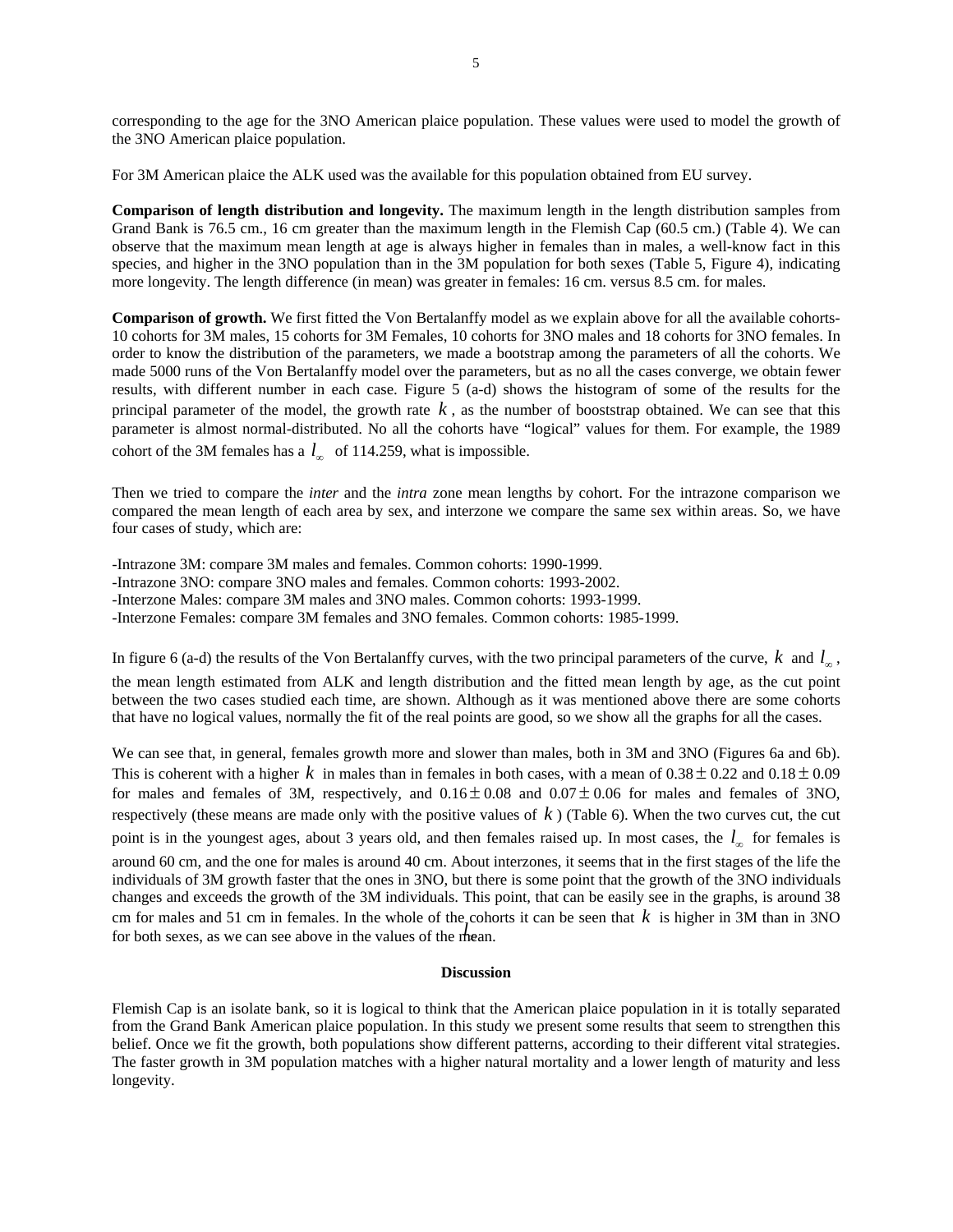corresponding to the age for the 3NO American plaice population. These values were used to model the growth of the 3NO American plaice population.

For 3M American plaice the ALK used was the available for this population obtained from EU survey.

**Comparison of length distribution and longevity.** The maximum length in the length distribution samples from Grand Bank is 76.5 cm., 16 cm greater than the maximum length in the Flemish Cap (60.5 cm.) (Table 4). We can observe that the maximum mean length at age is always higher in females than in males, a well-know fact in this species, and higher in the 3NO population than in the 3M population for both sexes (Table 5, Figure 4), indicating more longevity. The length difference (in mean) was greater in females: 16 cm. versus 8.5 cm. for males.

**Comparison of growth.** We first fitted the Von Bertalanffy model as we explain above for all the available cohorts-10 cohorts for 3M males, 15 cohorts for 3M Females, 10 cohorts for 3NO males and 18 cohorts for 3NO females. In order to know the distribution of the parameters, we made a bootstrap among the parameters of all the cohorts. We made 5000 runs of the Von Bertalanffy model over the parameters, but as no all the cases converge, we obtain fewer results, with different number in each case. Figure 5 (a-d) shows the histogram of some of the results for the principal parameter of the model, the growth rate  $k$ , as the number of booststrap obtained. We can see that this parameter is almost normal-distributed. No all the cohorts have "logical" values for them. For example, the 1989 cohort of the 3M females has a  $l_{\infty}$  of 114.259, what is impossible.

Then we tried to compare the *inter* and the *intra* zone mean lengths by cohort. For the intrazone comparison we compared the mean length of each area by sex, and interzone we compare the same sex within areas. So, we have four cases of study, which are:

-Intrazone 3M: compare 3M males and females. Common cohorts: 1990-1999. -Intrazone 3NO: compare 3NO males and females. Common cohorts: 1993-2002. -Interzone Males: compare 3M males and 3NO males. Common cohorts: 1993-1999. -Interzone Females: compare 3M females and 3NO females. Common cohorts: 1985-1999.

In figure 6 (a-d) the results of the Von Bertalanffy curves, with the two principal parameters of the curve,  $k$  and  $l_{\infty}$ , the mean length estimated from ALK and length distribution and the fitted mean length by age, as the cut point between the two cases studied each time, are shown. Although as it was mentioned above there are some cohorts that have no logical values, normally the fit of the real points are good, so we show all the graphs for all the cases.

We can see that, in general, females growth more and slower than males, both in 3M and 3NO (Figures 6a and 6b). This is coherent with a higher k in males than in females in both cases, with a mean of  $0.38 \pm 0.22$  and  $0.18 \pm 0.09$ for males and females of 3M, respectively, and  $0.16 \pm 0.08$  and  $0.07 \pm 0.06$  for males and females of 3NO, respectively (these means are made only with the positive values of  $k$ ) (Table 6). When the two curves cut, the cut point is in the youngest ages, about 3 years old, and then females raised up. In most cases, the  $l_{\infty}$  for females is around 60 cm, and the one for males is around 40 cm. About interzones, it seems that in the first stages of the life the individuals of 3M growth faster that the ones in 3NO, but there is some point that the growth of the 3NO individuals changes and exceeds the growth of the 3M individuals. This point, that can be easily see in the graphs, is around 38 cm for males and 51 cm in females. In the whole of the cohorts it can be seen that  $k$  is higher in 3M than in 3NO for both sexes, as we can see above in the values of the mean.

#### **Discussion**

Flemish Cap is an isolate bank, so it is logical to think that the American plaice population in it is totally separated from the Grand Bank American plaice population. In this study we present some results that seem to strengthen this belief. Once we fit the growth, both populations show different patterns, according to their different vital strategies. The faster growth in 3M population matches with a higher natural mortality and a lower length of maturity and less longevity.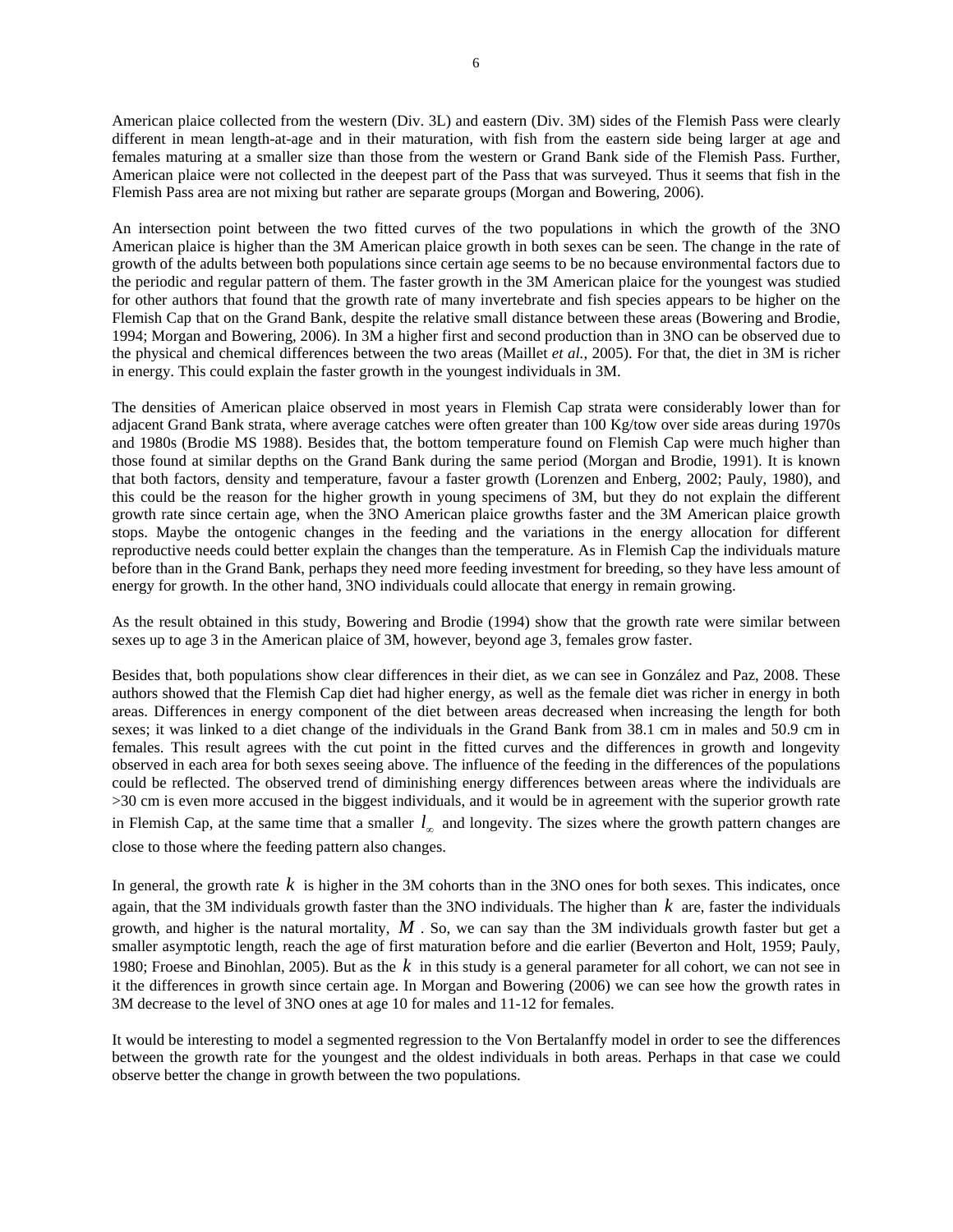American plaice collected from the western (Div. 3L) and eastern (Div. 3M) sides of the Flemish Pass were clearly different in mean length-at-age and in their maturation, with fish from the eastern side being larger at age and females maturing at a smaller size than those from the western or Grand Bank side of the Flemish Pass. Further, American plaice were not collected in the deepest part of the Pass that was surveyed. Thus it seems that fish in the Flemish Pass area are not mixing but rather are separate groups (Morgan and Bowering, 2006).

An intersection point between the two fitted curves of the two populations in which the growth of the 3NO American plaice is higher than the 3M American plaice growth in both sexes can be seen. The change in the rate of growth of the adults between both populations since certain age seems to be no because environmental factors due to the periodic and regular pattern of them. The faster growth in the 3M American plaice for the youngest was studied for other authors that found that the growth rate of many invertebrate and fish species appears to be higher on the Flemish Cap that on the Grand Bank, despite the relative small distance between these areas (Bowering and Brodie, 1994; Morgan and Bowering, 2006). In 3M a higher first and second production than in 3NO can be observed due to the physical and chemical differences between the two areas (Maillet *et al.*, 2005). For that, the diet in 3M is richer in energy. This could explain the faster growth in the youngest individuals in 3M.

The densities of American plaice observed in most years in Flemish Cap strata were considerably lower than for adjacent Grand Bank strata, where average catches were often greater than 100 Kg/tow over side areas during 1970s and 1980s (Brodie MS 1988). Besides that, the bottom temperature found on Flemish Cap were much higher than those found at similar depths on the Grand Bank during the same period (Morgan and Brodie, 1991). It is known that both factors, density and temperature, favour a faster growth (Lorenzen and Enberg, 2002; Pauly, 1980), and this could be the reason for the higher growth in young specimens of 3M, but they do not explain the different growth rate since certain age, when the 3NO American plaice growths faster and the 3M American plaice growth stops. Maybe the ontogenic changes in the feeding and the variations in the energy allocation for different reproductive needs could better explain the changes than the temperature. As in Flemish Cap the individuals mature before than in the Grand Bank, perhaps they need more feeding investment for breeding, so they have less amount of energy for growth. In the other hand, 3NO individuals could allocate that energy in remain growing.

As the result obtained in this study, Bowering and Brodie (1994) show that the growth rate were similar between sexes up to age 3 in the American plaice of 3M, however, beyond age 3, females grow faster.

Besides that, both populations show clear differences in their diet, as we can see in González and Paz, 2008. These authors showed that the Flemish Cap diet had higher energy, as well as the female diet was richer in energy in both areas. Differences in energy component of the diet between areas decreased when increasing the length for both sexes; it was linked to a diet change of the individuals in the Grand Bank from 38.1 cm in males and 50.9 cm in females. This result agrees with the cut point in the fitted curves and the differences in growth and longevity observed in each area for both sexes seeing above. The influence of the feeding in the differences of the populations could be reflected. The observed trend of diminishing energy differences between areas where the individuals are >30 cm is even more accused in the biggest individuals, and it would be in agreement with the superior growth rate in Flemish Cap, at the same time that a smaller  $l_{\infty}$  and longevity. The sizes where the growth pattern changes are close to those where the feeding pattern also changes.

In general, the growth rate  $k$  is higher in the 3M cohorts than in the 3NO ones for both sexes. This indicates, once again, that the 3M individuals growth faster than the 3NO individuals. The higher than *k* are, faster the individuals growth, and higher is the natural mortality,  $M$ . So, we can say than the 3M individuals growth faster but get a smaller asymptotic length, reach the age of first maturation before and die earlier (Beverton and Holt, 1959; Pauly, 1980; Froese and Binohlan, 2005). But as the *k* in this study is a general parameter for all cohort, we can not see in it the differences in growth since certain age. In Morgan and Bowering (2006) we can see how the growth rates in 3M decrease to the level of 3NO ones at age 10 for males and 11-12 for females.

It would be interesting to model a segmented regression to the Von Bertalanffy model in order to see the differences between the growth rate for the youngest and the oldest individuals in both areas. Perhaps in that case we could observe better the change in growth between the two populations.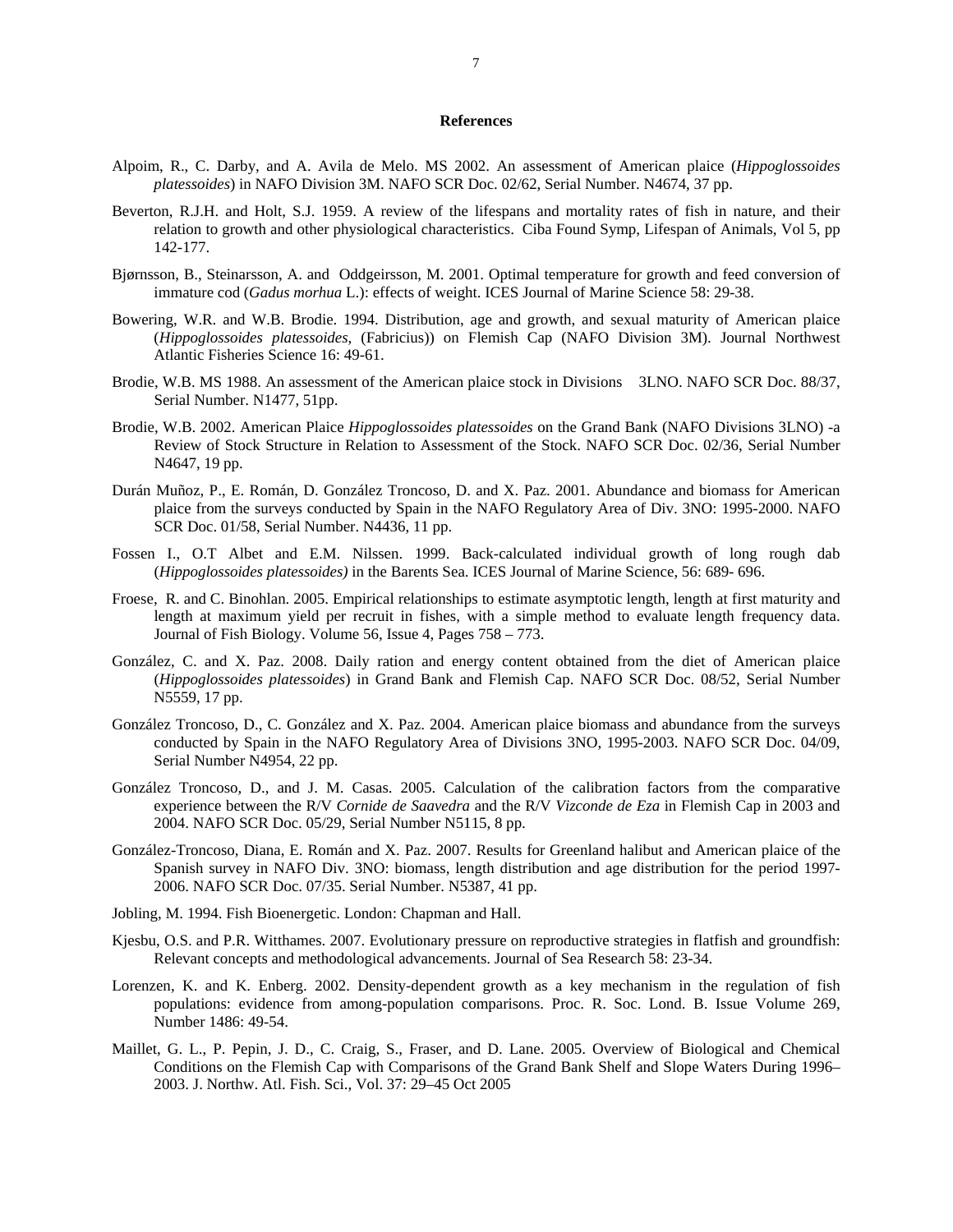#### **References**

- Alpoim, R., C. Darby, and A. Avila de Melo. MS 2002. An assessment of American plaice (*Hippoglossoides platessoides*) in NAFO Division 3M. NAFO SCR Doc. 02/62, Serial Number. N4674, 37 pp.
- Beverton, R.J.H. and Holt, S.J. 1959. A review of the lifespans and mortality rates of fish in nature, and their relation to growth and other physiological characteristics. Ciba Found Symp, Lifespan of Animals, Vol 5, pp 142-177.
- Bjørnsson, B., Steinarsson, A. and Oddgeirsson, M. 2001. Optimal temperature for growth and feed conversion of immature cod (*Gadus morhua* L.): effects of weight. ICES Journal of Marine Science 58: 29-38.
- Bowering, W.R. and W.B. Brodie. 1994. Distribution, age and growth, and sexual maturity of American plaice (*Hippoglossoides platessoides,* (Fabricius)) on Flemish Cap (NAFO Division 3M). Journal Northwest Atlantic Fisheries Science 16: 49-61.
- Brodie, W.B. MS 1988. An assessment of the American plaice stock in Divisions 3LNO. NAFO SCR Doc. 88/37, Serial Number. N1477, 51pp.
- Brodie, W.B. 2002. American Plaice *Hippoglossoides platessoides* on the Grand Bank (NAFO Divisions 3LNO) -a Review of Stock Structure in Relation to Assessment of the Stock. NAFO SCR Doc. 02/36, Serial Number N4647, 19 pp.
- Durán Muñoz, P., E. Román, D. González Troncoso, D. and X. Paz. 2001. Abundance and biomass for American plaice from the surveys conducted by Spain in the NAFO Regulatory Area of Div. 3NO: 1995-2000. NAFO SCR Doc. 01/58, Serial Number. N4436, 11 pp.
- Fossen I., O.T Albet and E.M. Nilssen. 1999. Back-calculated individual growth of long rough dab (*Hippoglossoides platessoides)* in the Barents Sea. ICES Journal of Marine Science, 56: 689- 696.
- Froese, R. and C. Binohlan. 2005. Empirical relationships to estimate asymptotic length, length at first maturity and length at maximum yield per recruit in fishes, with a simple method to evaluate length frequency data. Journal of Fish Biology. Volume 56, Issue 4, Pages 758 – 773.
- González, C. and X. Paz. 2008. Daily ration and energy content obtained from the diet of American plaice (*Hippoglossoides platessoides*) in Grand Bank and Flemish Cap. NAFO SCR Doc. 08/52, Serial Number N5559, 17 pp.
- González Troncoso, D., C. González and X. Paz. 2004. American plaice biomass and abundance from the surveys conducted by Spain in the NAFO Regulatory Area of Divisions 3NO, 1995-2003. NAFO SCR Doc. 04/09, Serial Number N4954, 22 pp.
- González Troncoso, D., and J. M. Casas. 2005. Calculation of the calibration factors from the comparative experience between the R/V *Cornide de Saavedra* and the R/V *Vizconde de Eza* in Flemish Cap in 2003 and 2004. NAFO SCR Doc. 05/29, Serial Number N5115, 8 pp.
- González-Troncoso, Diana, E. Román and X. Paz. 2007. Results for Greenland halibut and American plaice of the Spanish survey in NAFO Div. 3NO: biomass, length distribution and age distribution for the period 1997- 2006. NAFO SCR Doc. 07/35. Serial Number. N5387, 41 pp.
- Jobling, M. 1994. Fish Bioenergetic. London: Chapman and Hall.
- Kjesbu, O.S. and P.R. Witthames. 2007. Evolutionary pressure on reproductive strategies in flatfish and groundfish: Relevant concepts and methodological advancements. Journal of Sea Research 58: 23-34.
- Lorenzen, K. and K. Enberg. 2002. Density-dependent growth as a key mechanism in the regulation of fish populations: evidence from among-population comparisons. Proc. R. Soc. Lond. B. Issue Volume 269, Number 1486: 49-54.
- Maillet, G. L., P. Pepin, J. D., C. Craig, S., Fraser, and D. Lane. 2005. Overview of Biological and Chemical Conditions on the Flemish Cap with Comparisons of the Grand Bank Shelf and Slope Waters During 1996– 2003. J. Northw. Atl. Fish. Sci., Vol. 37: 29–45 Oct 2005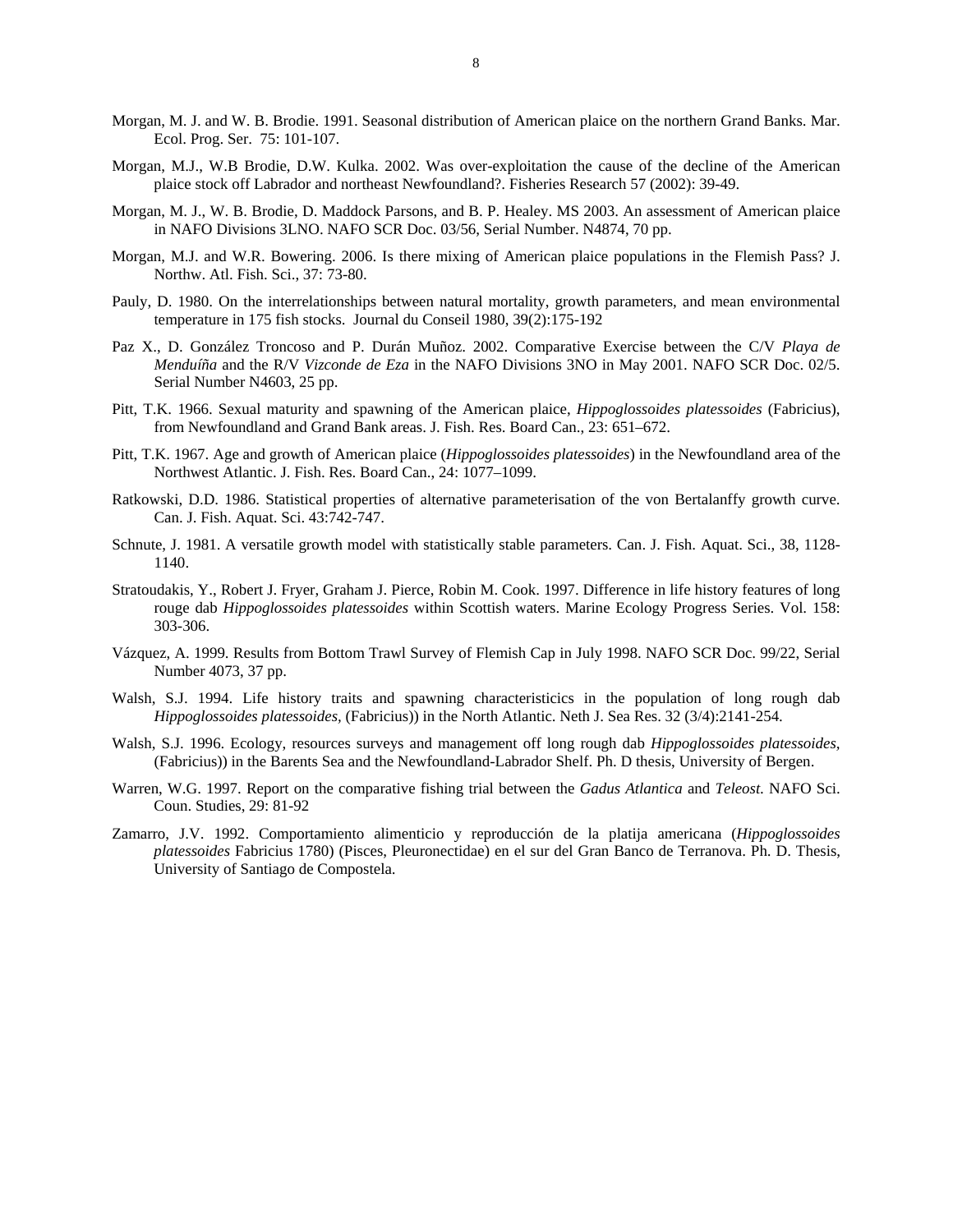- Morgan, M. J. and W. B. Brodie. 1991. Seasonal distribution of American plaice on the northern Grand Banks. Mar. Ecol. Prog. Ser. 75: 101-107.
- Morgan, M.J., W.B Brodie, D.W. Kulka. 2002. Was over-exploitation the cause of the decline of the American plaice stock off Labrador and northeast Newfoundland?. Fisheries Research 57 (2002): 39-49.
- Morgan, M. J., W. B. Brodie, D. Maddock Parsons, and B. P. Healey. MS 2003. An assessment of American plaice in NAFO Divisions 3LNO. NAFO SCR Doc. 03/56, Serial Number. N4874, 70 pp.
- Morgan, M.J. and W.R. Bowering. 2006. Is there mixing of American plaice populations in the Flemish Pass? J. Northw. Atl. Fish. Sci., 37: 73-80.
- Pauly, D. 1980. On the interrelationships between natural mortality, growth parameters, and mean environmental temperature in 175 fish stocks. Journal du Conseil 1980, 39(2):175-192
- Paz X., D. González Troncoso and P. Durán Muñoz. 2002. Comparative Exercise between the C/V *Playa de Menduíña* and the R/V *Vizconde de Eza* in the NAFO Divisions 3NO in May 2001. NAFO SCR Doc. 02/5. Serial Number N4603, 25 pp.
- Pitt, T.K. 1966. Sexual maturity and spawning of the American plaice, *Hippoglossoides platessoides* (Fabricius), from Newfoundland and Grand Bank areas. J. Fish. Res. Board Can., 23: 651–672.
- Pitt, T.K. 1967. Age and growth of American plaice (*Hippoglossoides platessoides*) in the Newfoundland area of the Northwest Atlantic. J. Fish. Res. Board Can., 24: 1077–1099.
- Ratkowski, D.D. 1986. Statistical properties of alternative parameterisation of the von Bertalanffy growth curve. Can. J. Fish. Aquat. Sci. 43:742-747.
- Schnute, J. 1981. A versatile growth model with statistically stable parameters. Can. J. Fish. Aquat. Sci., 38, 1128- 1140.
- Stratoudakis, Y., Robert J. Fryer, Graham J. Pierce, Robin M. Cook. 1997. Difference in life history features of long rouge dab *Hippoglossoides platessoides* within Scottish waters. Marine Ecology Progress Series. Vol. 158: 303-306.
- Vázquez, A. 1999. Results from Bottom Trawl Survey of Flemish Cap in July 1998. NAFO SCR Doc. 99/22, Serial Number 4073, 37 pp.
- Walsh, S.J. 1994. Life history traits and spawning characteristicics in the population of long rough dab *Hippoglossoides platessoides,* (Fabricius)) in the North Atlantic. Neth J. Sea Res. 32 (3/4):2141-254.
- Walsh, S.J. 1996. Ecology, resources surveys and management off long rough dab *Hippoglossoides platessoides,* (Fabricius)) in the Barents Sea and the Newfoundland-Labrador Shelf. Ph. D thesis, University of Bergen.
- Warren, W.G. 1997. Report on the comparative fishing trial between the *Gadus Atlantica* and *Teleost*. NAFO Sci. Coun. Studies, 29: 81-92
- Zamarro, J.V. 1992. Comportamiento alimenticio y reproducción de la platija americana (*Hippoglossoides platessoides* Fabricius 1780) (Pisces, Pleuronectidae) en el sur del Gran Banco de Terranova. Ph. D. Thesis, University of Santiago de Compostela.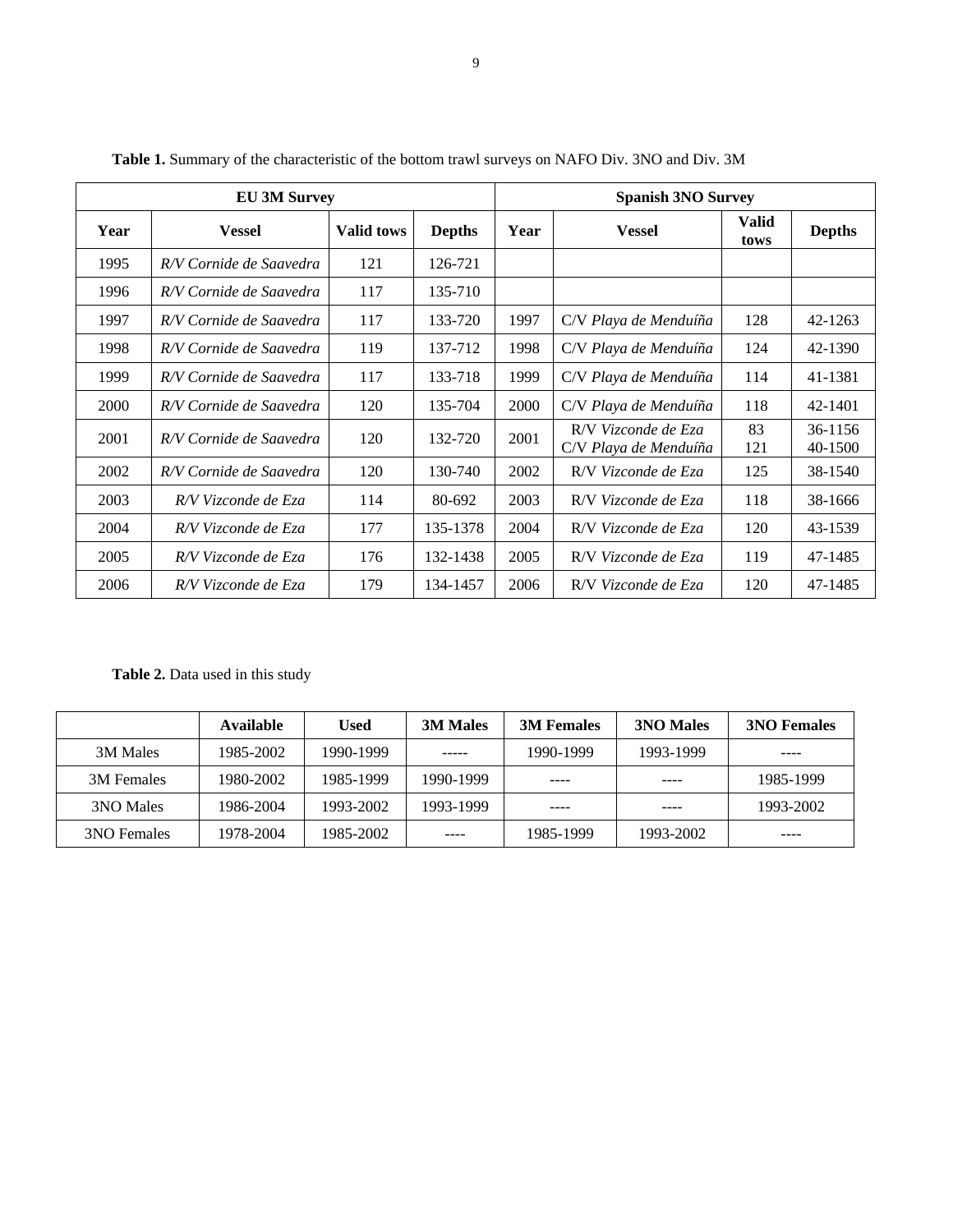| <b>EU 3M Survey</b> |                         |                   |               | <b>Spanish 3NO Survey</b> |                                              |                      |                    |
|---------------------|-------------------------|-------------------|---------------|---------------------------|----------------------------------------------|----------------------|--------------------|
| Year                | <b>Vessel</b>           | <b>Valid tows</b> | <b>Depths</b> | Year                      | <b>Vessel</b>                                | <b>Valid</b><br>tows | <b>Depths</b>      |
| 1995                | R/V Cornide de Saavedra | 121               | 126-721       |                           |                                              |                      |                    |
| 1996                | R/V Cornide de Saavedra | 117               | 135-710       |                           |                                              |                      |                    |
| 1997                | R/V Cornide de Saavedra | 117               | 133-720       | 1997                      | C/V Playa de Menduíña                        | 128                  | 42-1263            |
| 1998                | R/V Cornide de Saavedra | 119               | 137-712       | 1998                      | C/V Playa de Menduíña                        | 124                  | 42-1390            |
| 1999                | R/V Cornide de Saavedra | 117               | 133-718       | 1999                      | C/V Playa de Menduíña                        | 114                  | 41-1381            |
| 2000                | R/V Cornide de Saavedra | 120               | 135-704       | 2000                      | C/V Playa de Menduíña                        | 118                  | 42-1401            |
| 2001                | R/V Cornide de Saavedra | 120               | 132-720       | 2001                      | R/V Vizconde de Eza<br>C/V Playa de Menduíña | 83<br>121            | 36-1156<br>40-1500 |
| 2002                | R/V Cornide de Saavedra | 120               | 130-740       | 2002                      | R/V Vizconde de Eza                          | 125                  | 38-1540            |
| 2003                | R/V Vizconde de Eza     | 114               | 80-692        | 2003                      | R/V Vizconde de Eza                          | 118                  | 38-1666            |
| 2004                | R/V Vizconde de Eza     | 177               | 135-1378      | 2004                      | R/V Vizconde de Eza                          | 120                  | 43-1539            |
| 2005                | R/V Vizconde de Eza     | 176               | 132-1438      | 2005                      | R/V Vizconde de Eza                          | 119                  | 47-1485            |
| 2006                | R/V Vizconde de Eza     | 179               | 134-1457      | 2006                      | R/V Vizconde de Eza                          | 120                  | 47-1485            |

Table 1. Summary of the characteristic of the bottom trawl surveys on NAFO Div. 3NO and Div. 3M

**Table 2.** Data used in this study

|             | <b>Available</b> | Used      | <b>3M Males</b> | <b>3M Females</b> | <b>3NO Males</b> | <b>3NO Females</b> |
|-------------|------------------|-----------|-----------------|-------------------|------------------|--------------------|
| 3M Males    | 1985-2002        | 1990-1999 | -----           | 1990-1999         | 1993-1999        | ----               |
| 3M Females  | 1980-2002        | 1985-1999 | 1990-1999       | ----              | ----             | 1985-1999          |
| 3NO Males   | 1986-2004        | 1993-2002 | 1993-1999       | ----              | ----             | 1993-2002          |
| 3NO Females | 1978-2004        | 1985-2002 | ----            | 1985-1999         | 1993-2002        | ----               |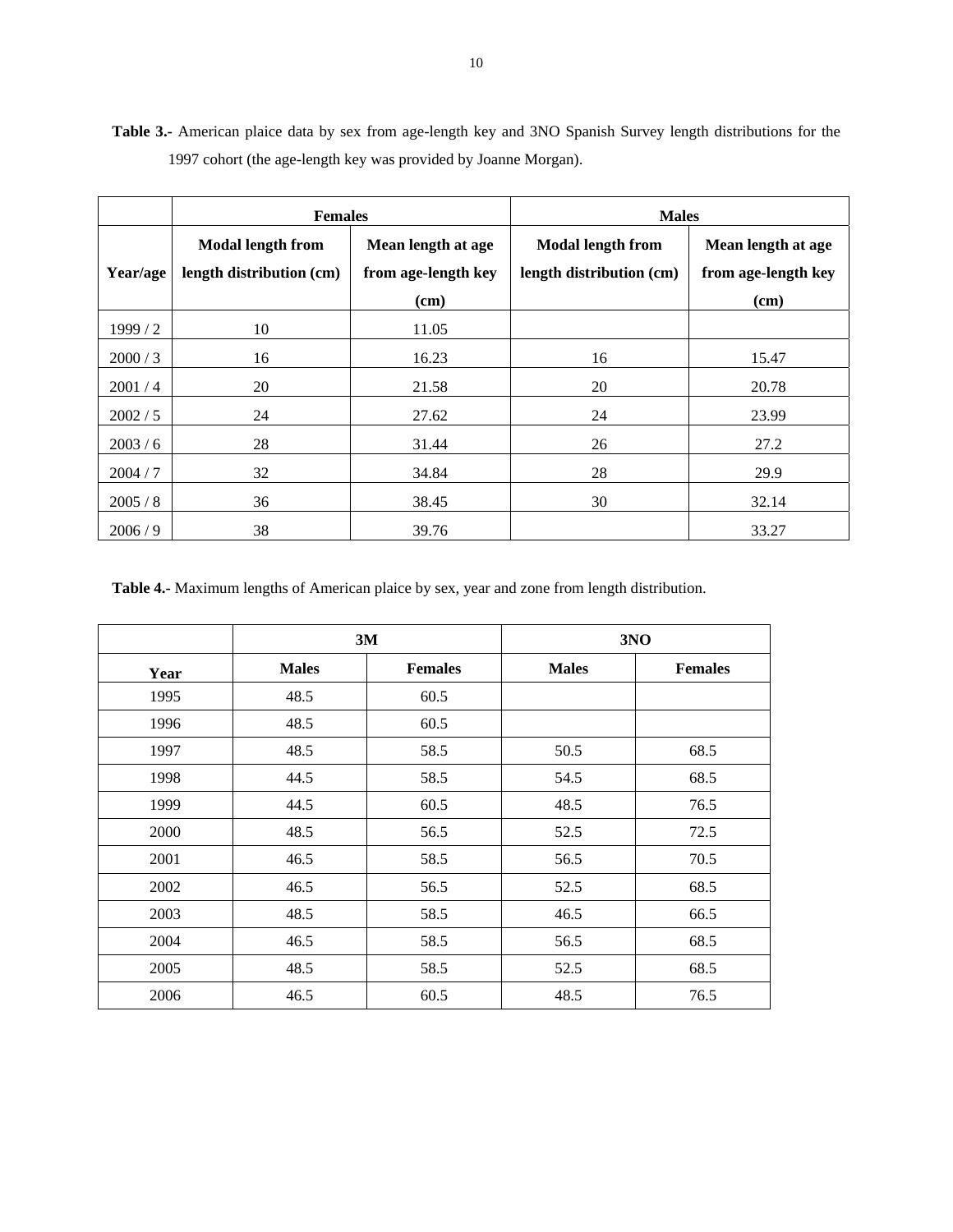**Table 3.-** American plaice data by sex from age-length key and 3NO Spanish Survey length distributions for the 1997 cohort (the age-length key was provided by Joanne Morgan).

|          | <b>Females</b>                                       |                                           | <b>Males</b>                                         |                                           |  |
|----------|------------------------------------------------------|-------------------------------------------|------------------------------------------------------|-------------------------------------------|--|
| Year/age | <b>Modal length from</b><br>length distribution (cm) | Mean length at age<br>from age-length key | <b>Modal length from</b><br>length distribution (cm) | Mean length at age<br>from age-length key |  |
|          |                                                      | (cm)                                      |                                                      | (cm)                                      |  |
| 1999/2   | 10                                                   | 11.05                                     |                                                      |                                           |  |
| 2000 / 3 | 16                                                   | 16.23                                     | 16                                                   | 15.47                                     |  |
| 2001/4   | 20                                                   | 21.58                                     | 20                                                   | 20.78                                     |  |
| 2002 / 5 | 24                                                   | 27.62                                     | 24                                                   | 23.99                                     |  |
| 2003/6   | 28                                                   | 31.44                                     | 26                                                   | 27.2                                      |  |
| 2004/7   | 32                                                   | 34.84                                     | 28                                                   | 29.9                                      |  |
| 2005/8   | 36                                                   | 38.45                                     | 30                                                   | 32.14                                     |  |
| 2006/9   | 38                                                   | 39.76                                     |                                                      | 33.27                                     |  |

**Table 4.-** Maximum lengths of American plaice by sex, year and zone from length distribution.

|      | 3M           |                | 3NO          |                |
|------|--------------|----------------|--------------|----------------|
| Year | <b>Males</b> | <b>Females</b> | <b>Males</b> | <b>Females</b> |
| 1995 | 48.5         | 60.5           |              |                |
| 1996 | 48.5         | 60.5           |              |                |
| 1997 | 48.5         | 58.5           | 50.5         | 68.5           |
| 1998 | 44.5         | 58.5           | 54.5         | 68.5           |
| 1999 | 44.5         | 60.5           | 48.5         | 76.5           |
| 2000 | 48.5         | 56.5           | 52.5         | 72.5           |
| 2001 | 46.5         | 58.5           | 56.5         | 70.5           |
| 2002 | 46.5         | 56.5           | 52.5         | 68.5           |
| 2003 | 48.5         | 58.5           | 46.5         | 66.5           |
| 2004 | 46.5         | 58.5           | 56.5         | 68.5           |
| 2005 | 48.5         | 58.5           | 52.5         | 68.5           |
| 2006 | 46.5         | 60.5           | 48.5         | 76.5           |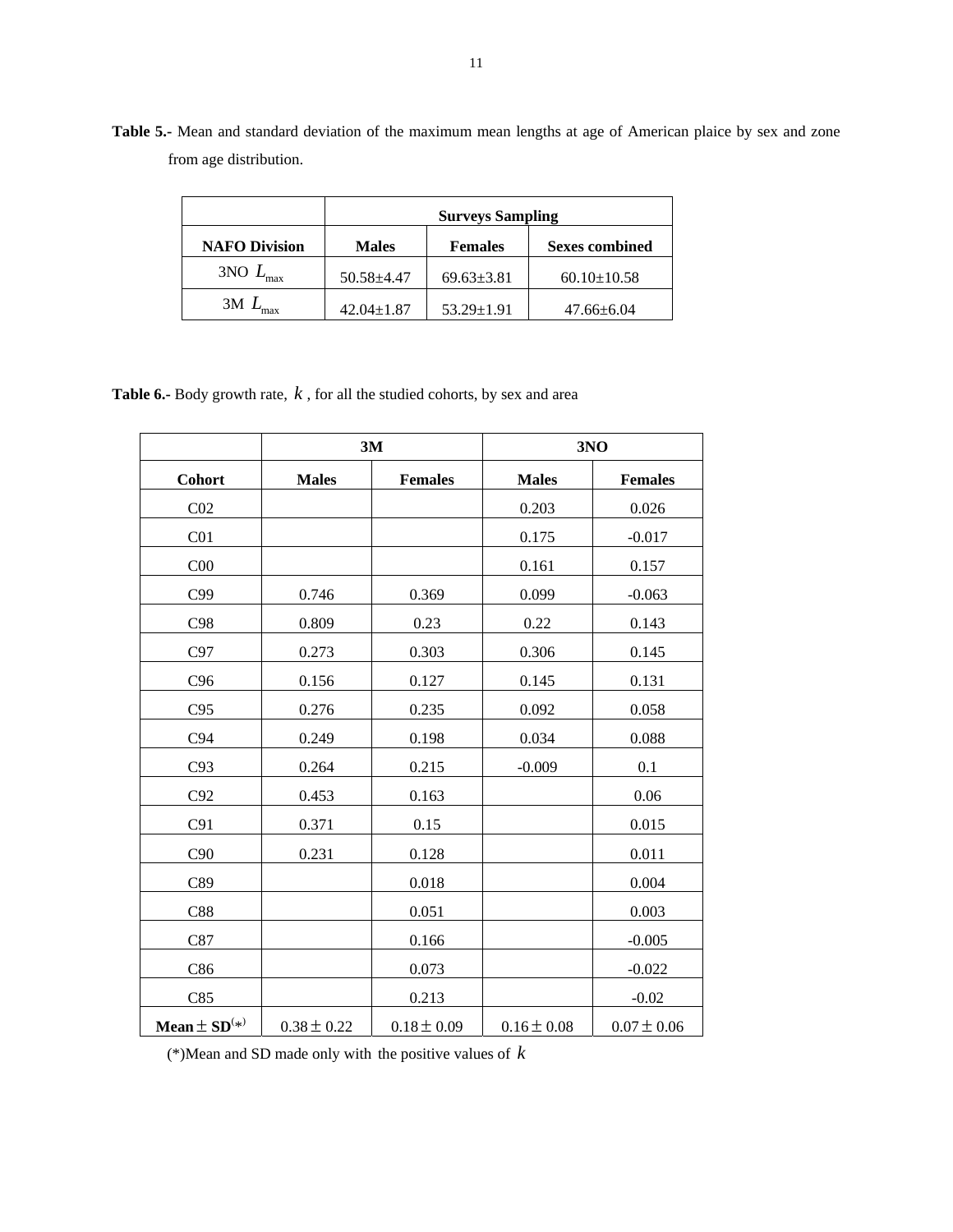|                      | <b>Surveys Sampling</b> |                  |                       |  |  |
|----------------------|-------------------------|------------------|-----------------------|--|--|
| <b>NAFO Division</b> | <b>Males</b>            | <b>Females</b>   | <b>Sexes combined</b> |  |  |
| $3NO$ $L$<br>max     | $50.58 \pm 4.47$        |                  | $60.10 \pm 10.58$     |  |  |
| 3M                   | $42.04 \pm 1.87$        | $53.29 \pm 1.91$ | $47.66 \pm 6.04$      |  |  |

**Table 5.-** Mean and standard deviation of the maximum mean lengths at age of American plaice by sex and zone from age distribution.

**Table 6.-** Body growth rate, *k* , for all the studied cohorts, by sex and area

|                              | 3M              |                 | 3NO             |                 |  |
|------------------------------|-----------------|-----------------|-----------------|-----------------|--|
| <b>Cohort</b>                | <b>Males</b>    | <b>Females</b>  | <b>Males</b>    | <b>Females</b>  |  |
| CO <sub>2</sub>              |                 |                 | 0.203           | 0.026           |  |
| C <sub>01</sub>              |                 |                 | 0.175           | $-0.017$        |  |
| C <sub>00</sub>              |                 |                 | 0.161           | 0.157           |  |
| C99                          | 0.746           | 0.369           | 0.099           | $-0.063$        |  |
| C98                          | 0.809           | 0.23            | 0.22            | 0.143           |  |
| C97                          | 0.273           | 0.303           | 0.306           | 0.145           |  |
| C96                          | 0.156           | 0.127           | 0.145           | 0.131           |  |
| C95                          | 0.276           | 0.235           | 0.092           | 0.058           |  |
| C94                          | 0.249           | 0.198           | 0.034           | 0.088           |  |
| C93                          | 0.264           | 0.215           | $-0.009$        | 0.1             |  |
| C92                          | 0.453           | 0.163           |                 | 0.06            |  |
| C91                          | 0.371           | 0.15            |                 | 0.015           |  |
| C90                          | 0.231           | 0.128           |                 | 0.011           |  |
| C89                          |                 | 0.018           |                 | 0.004           |  |
| C88                          |                 | 0.051           |                 | 0.003           |  |
| C87                          |                 | 0.166           |                 | $-0.005$        |  |
| C86                          |                 | 0.073           |                 | $-0.022$        |  |
| C85                          |                 | 0.213           |                 | $-0.02$         |  |
| Mean $\pm$ SD <sup>(*)</sup> | $0.38 \pm 0.22$ | $0.18 \pm 0.09$ | $0.16 \pm 0.08$ | $0.07 \pm 0.06$ |  |

(\*)Mean and SD made only with the positive values of *k*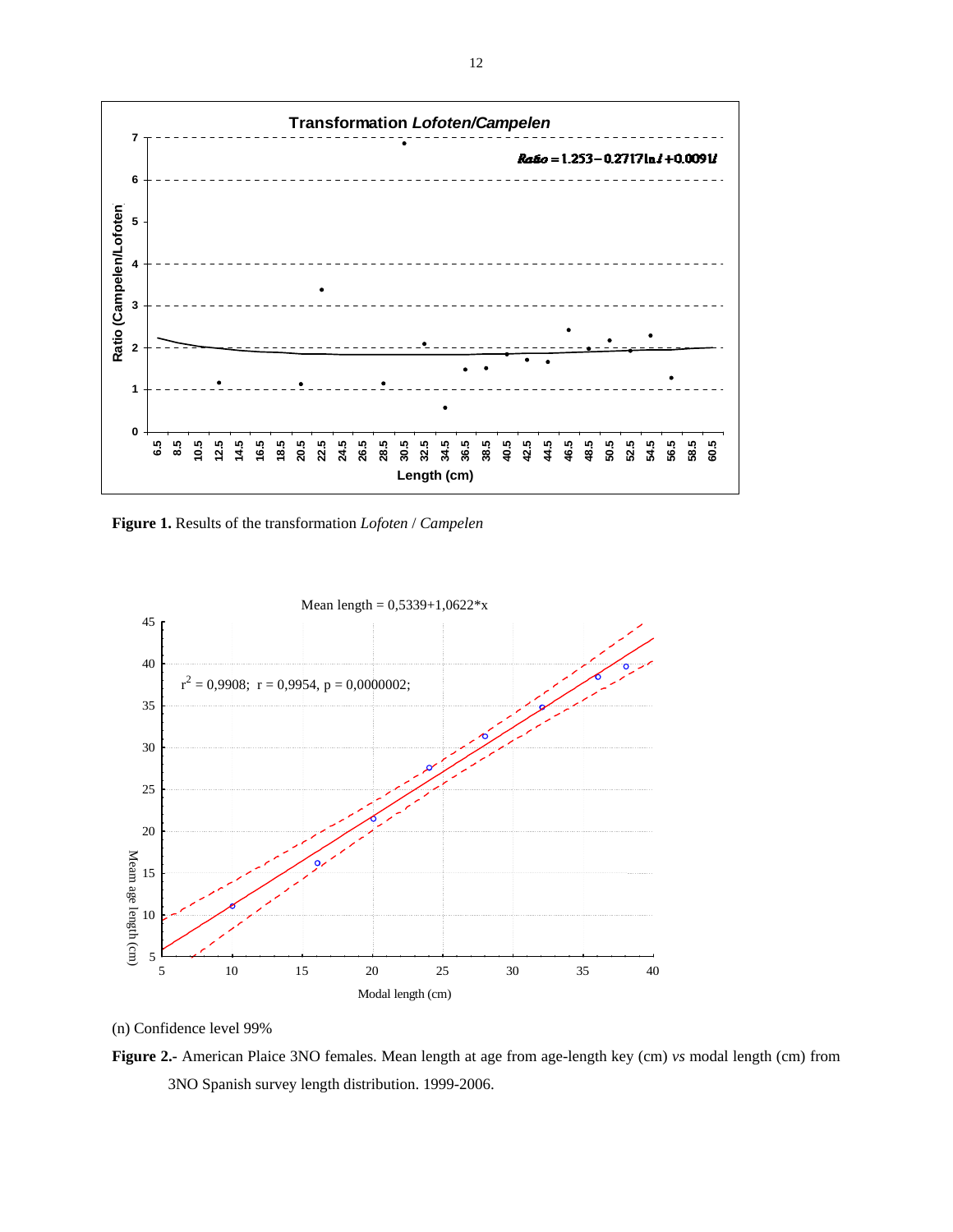

**Figure 1.** Results of the transformation *Lofoten* / *Campelen*



(n) Confidence level 99%

**Figure 2.-** American Plaice 3NO females. Mean length at age from age-length key (cm) *vs* modal length (cm) from 3NO Spanish survey length distribution. 1999-2006.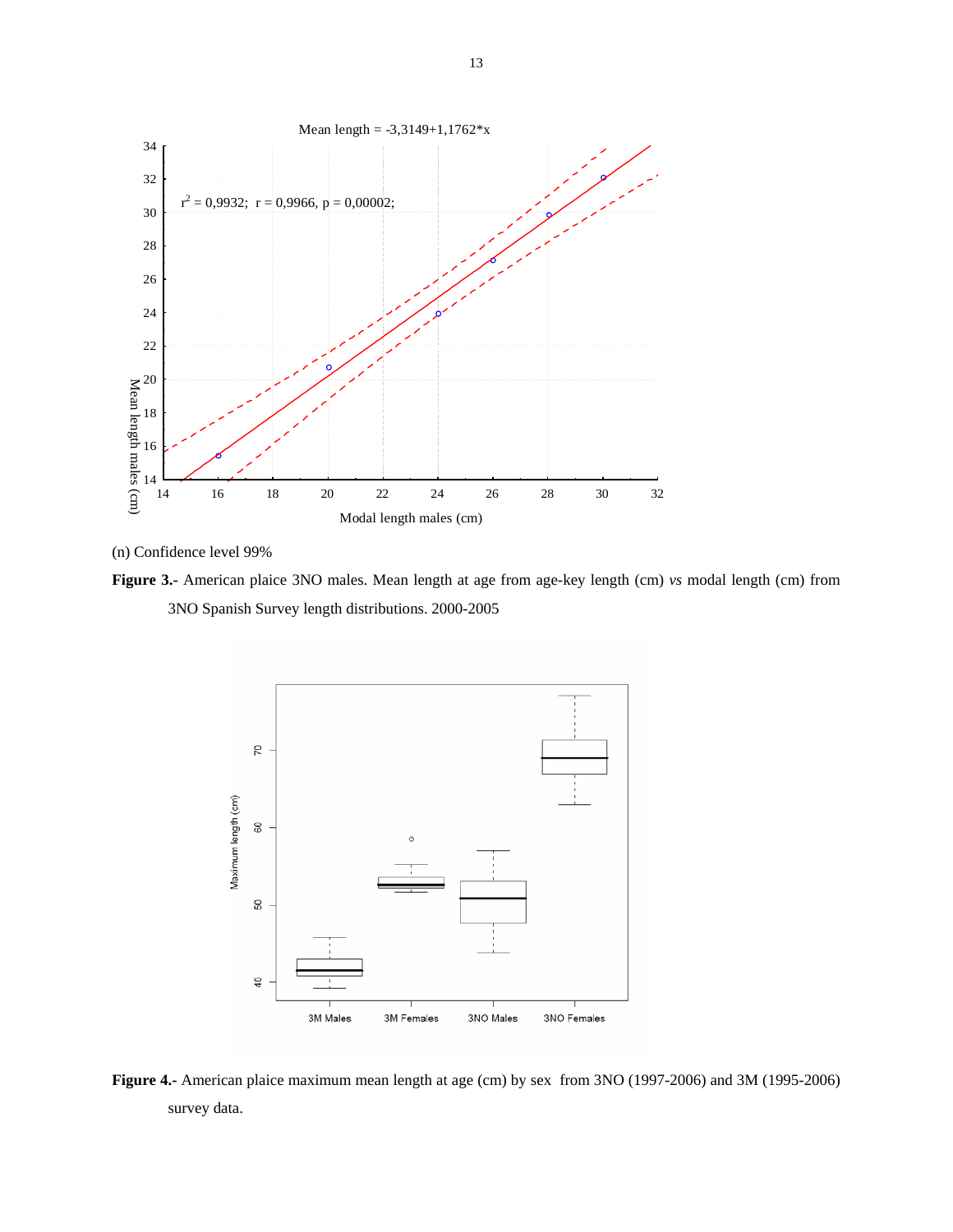



**Figure 3.-** American plaice 3NO males. Mean length at age from age-key length (cm) *vs* modal length (cm) from 3NO Spanish Survey length distributions. 2000-2005



**Figure 4.-** American plaice maximum mean length at age (cm) by sex from 3NO (1997-2006) and 3M (1995-2006) survey data.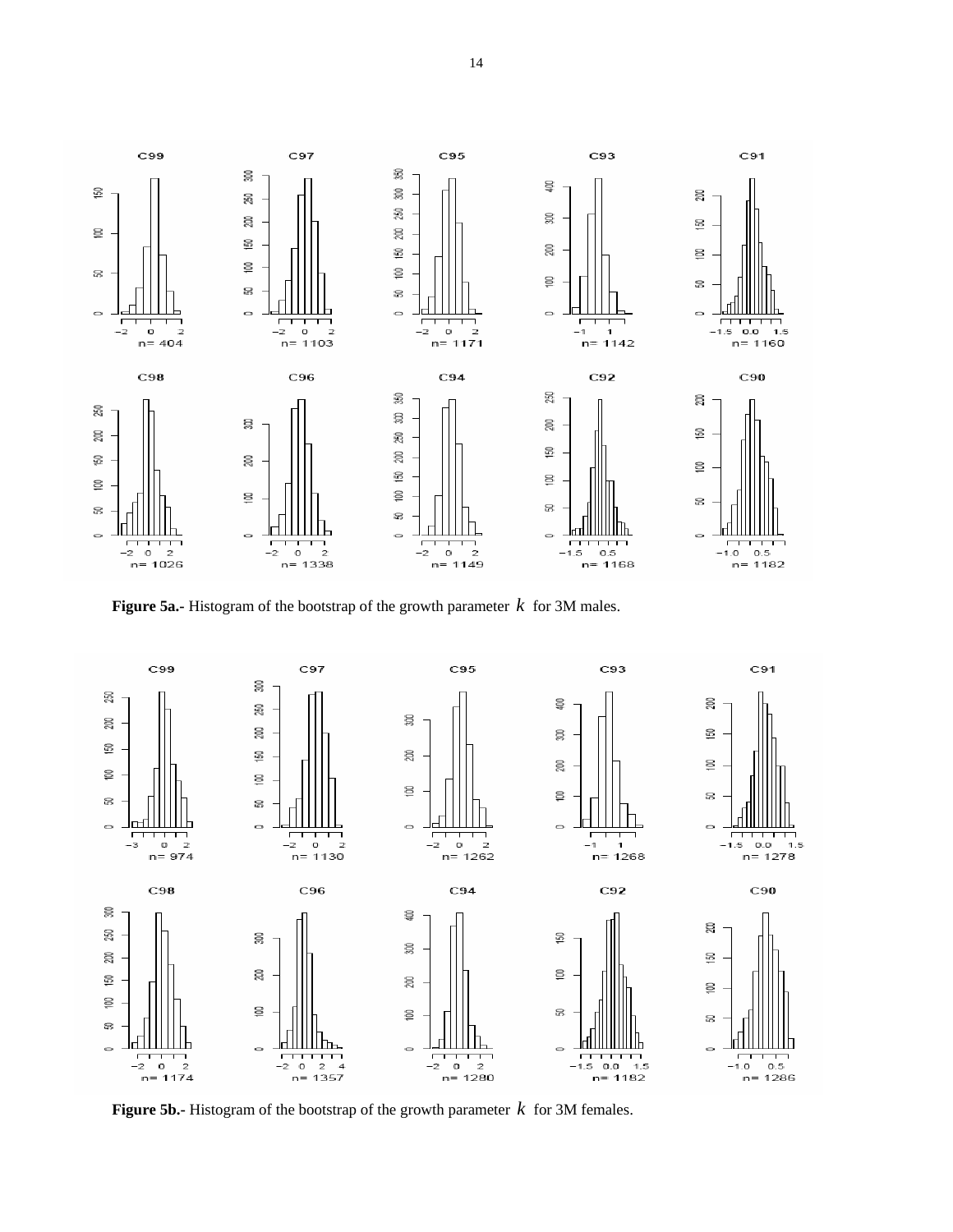

**Figure 5a.-** Histogram of the bootstrap of the growth parameter *k* for 3M males.



**Figure 5b.-** Histogram of the bootstrap of the growth parameter  $k$  for 3M females.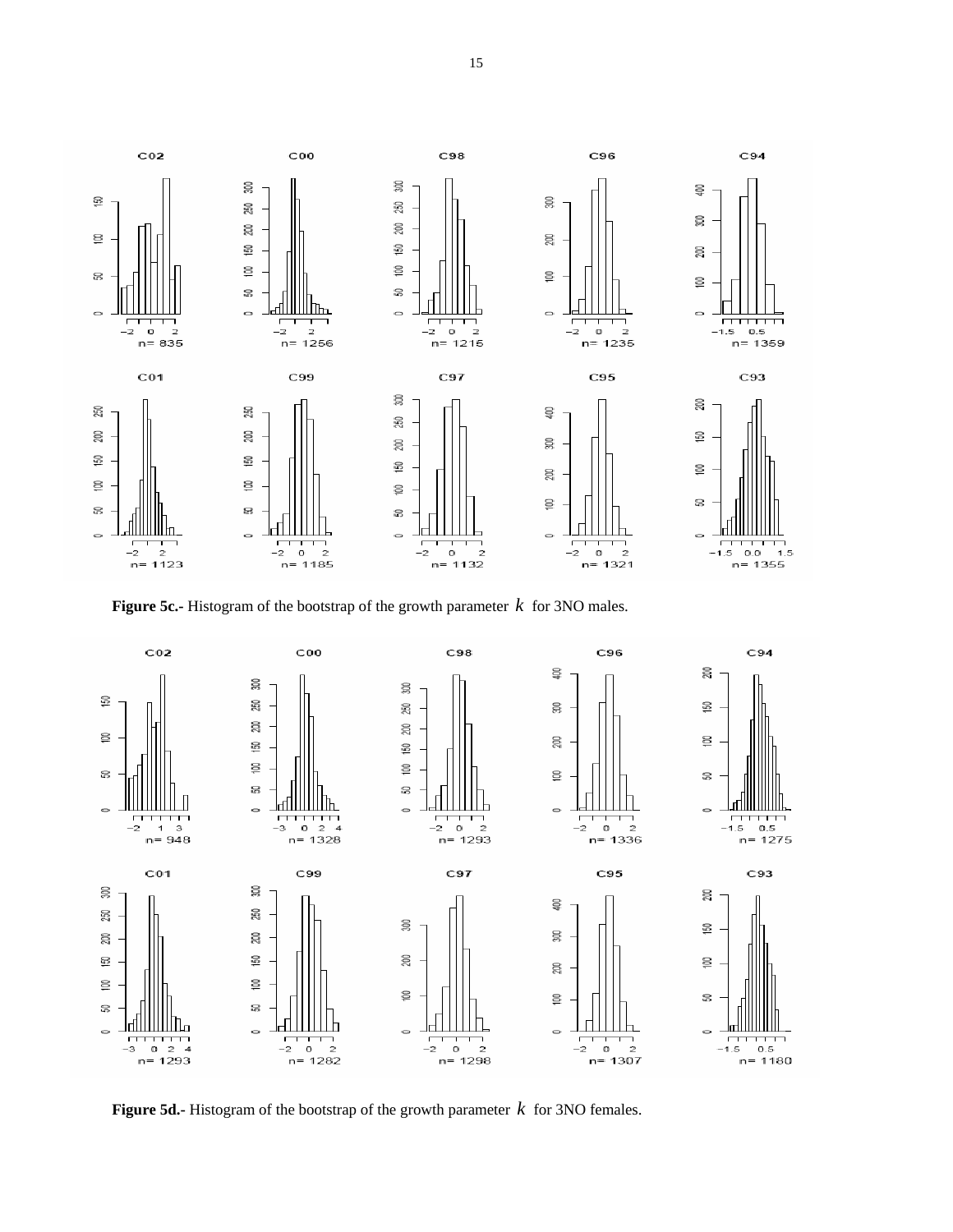

**Figure 5c.-** Histogram of the bootstrap of the growth parameter *k* for 3NO males.



**Figure 5d.-** Histogram of the bootstrap of the growth parameter *k* for 3NO females.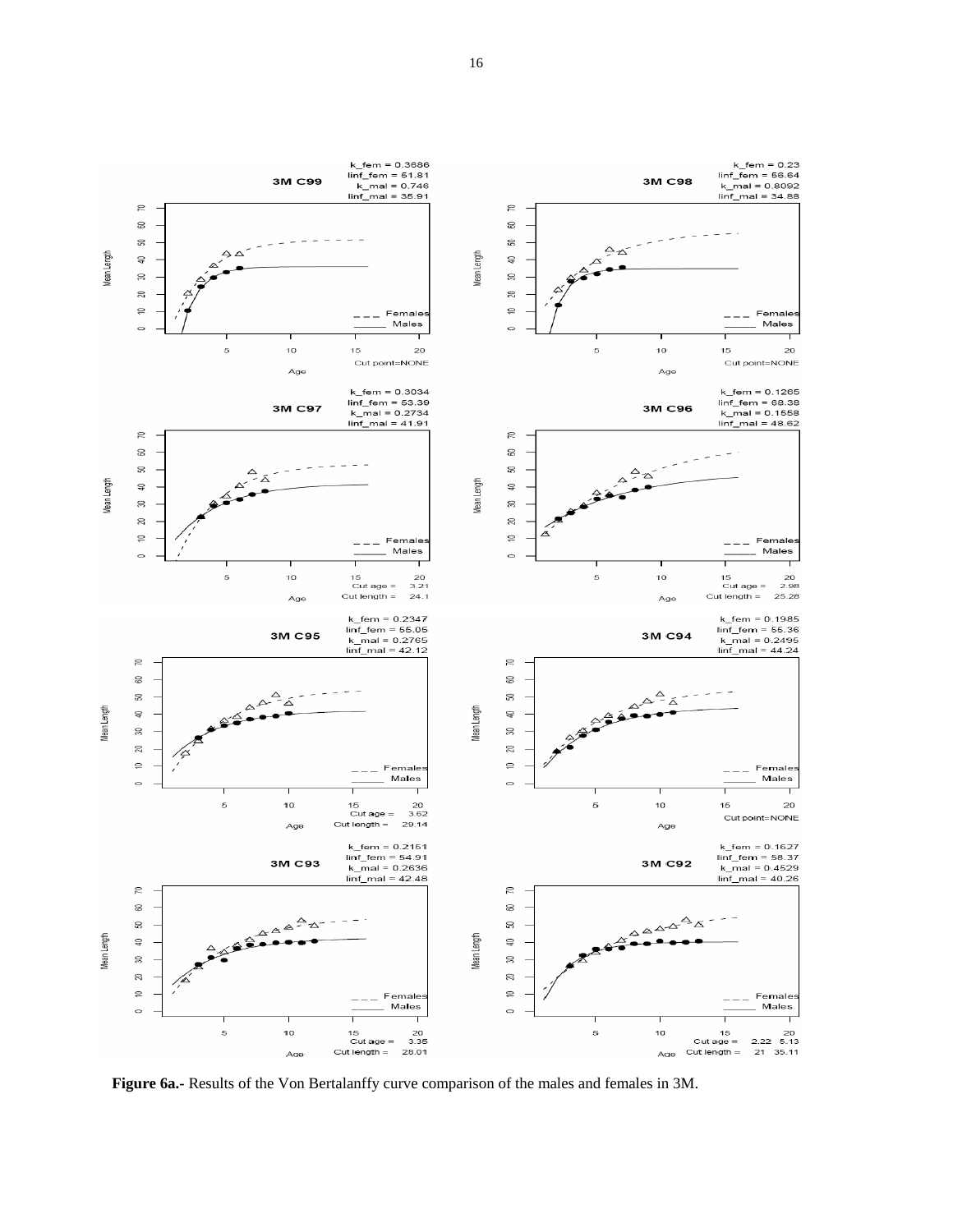

**Figure 6a.-** Results of the Von Bertalanffy curve comparison of the males and females in 3M.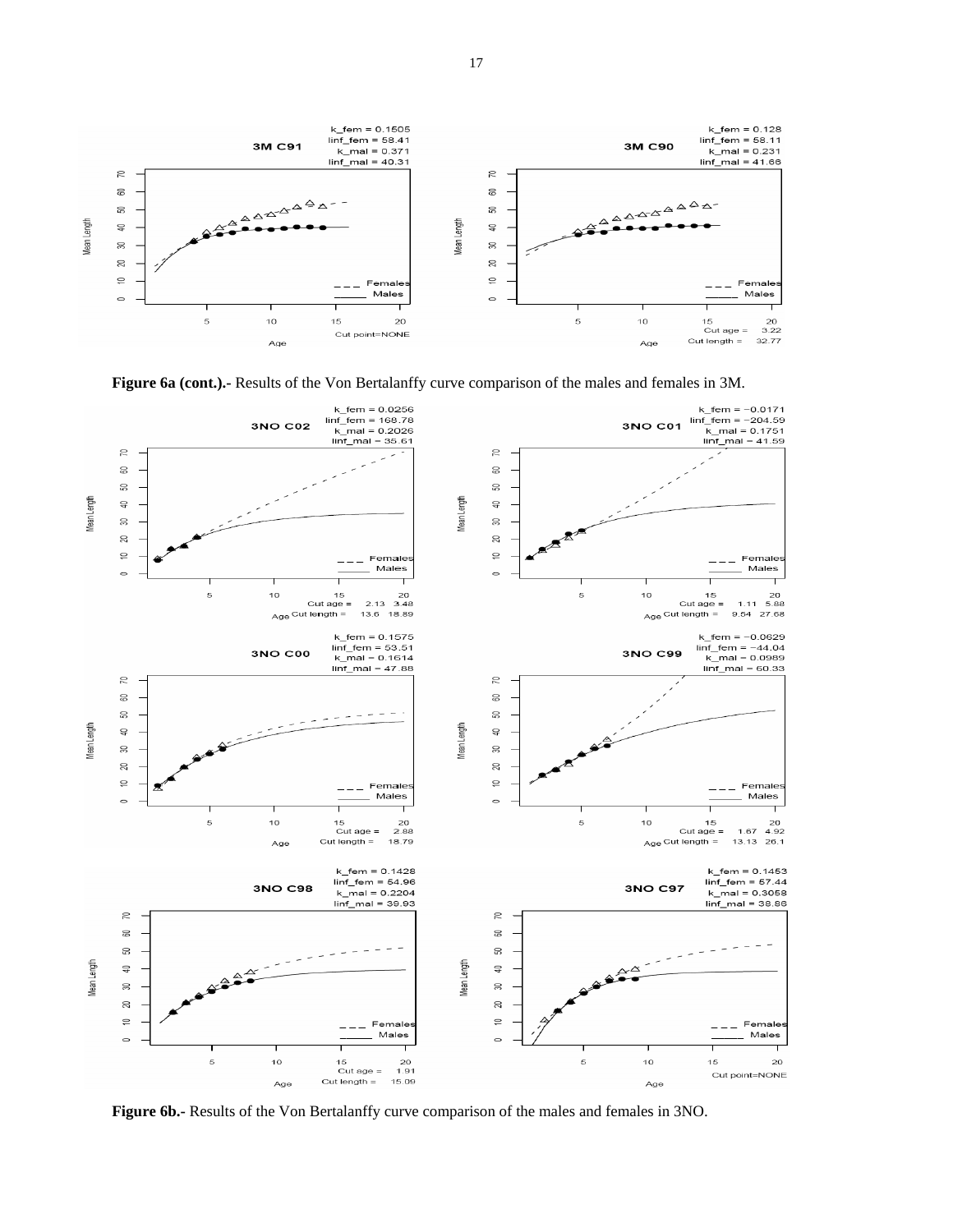





**Figure 6b.-** Results of the Von Bertalanffy curve comparison of the males and females in 3NO.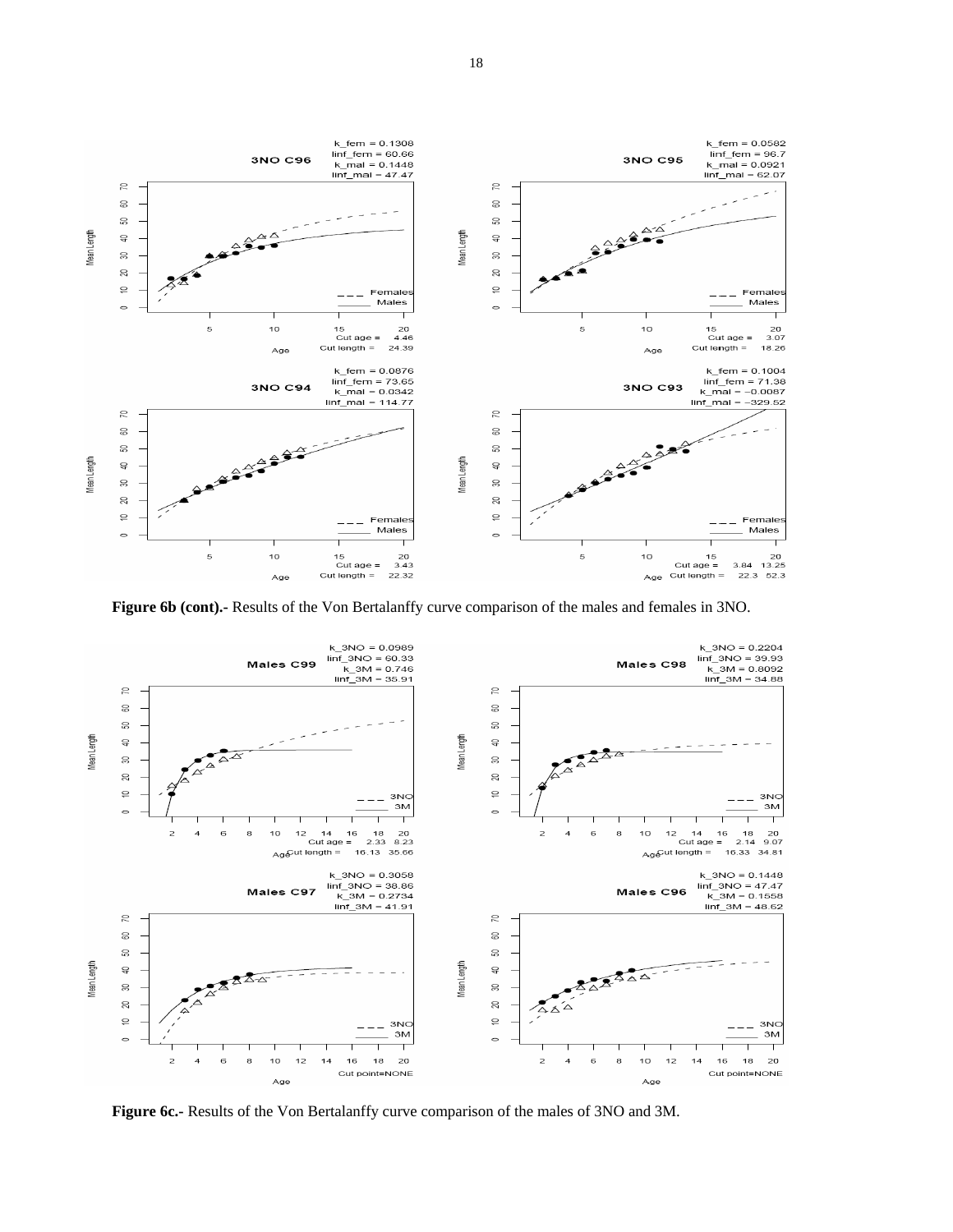

**Figure 6b (cont).-** Results of the Von Bertalanffy curve comparison of the males and females in 3NO.



**Figure 6c.-** Results of the Von Bertalanffy curve comparison of the males of 3NO and 3M.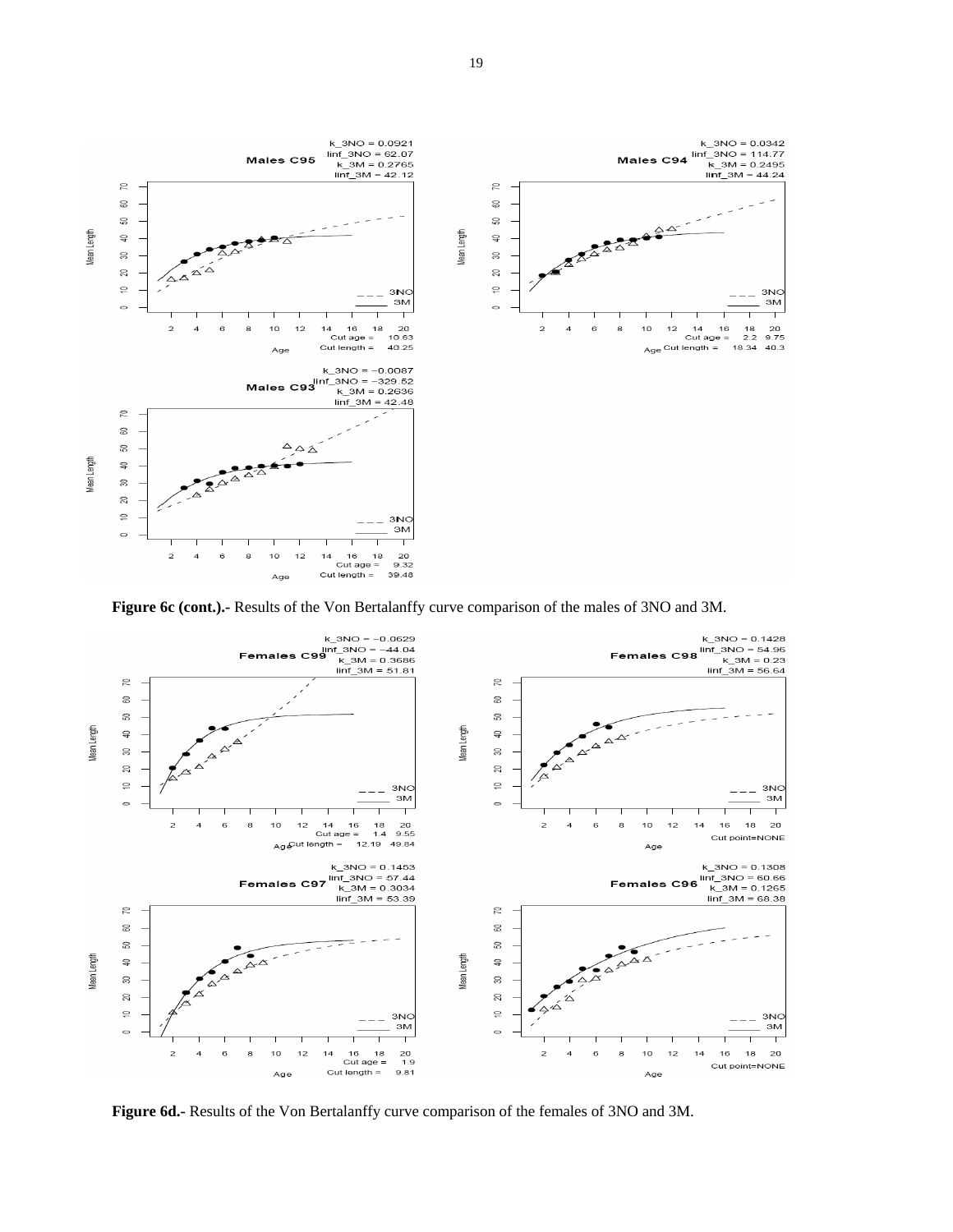

**Figure 6c (cont.).-** Results of the Von Bertalanffy curve comparison of the males of 3NO and 3M.



**Figure 6d.-** Results of the Von Bertalanffy curve comparison of the females of 3NO and 3M.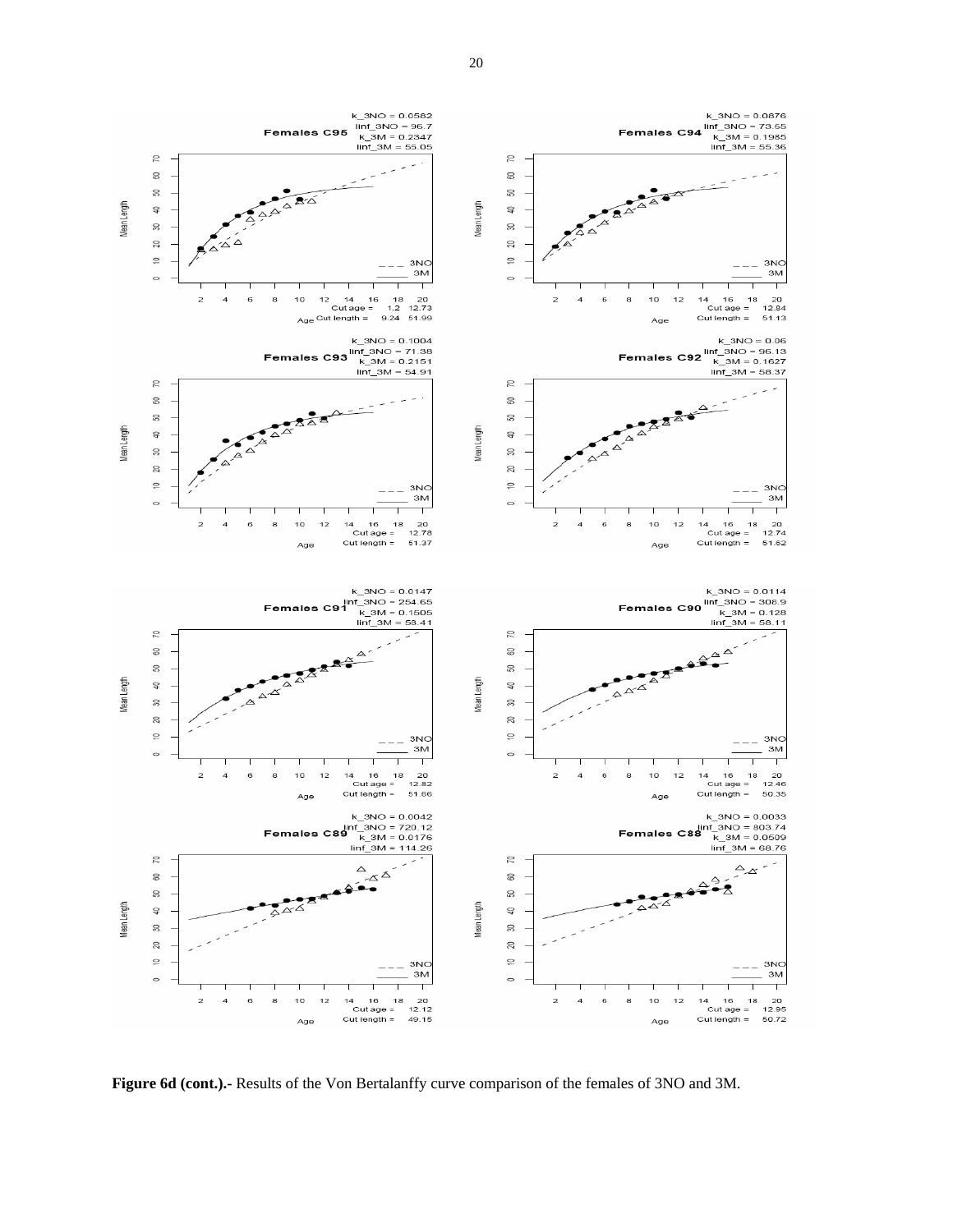

**Figure 6d (cont.).-** Results of the Von Bertalanffy curve comparison of the females of 3NO and 3M.